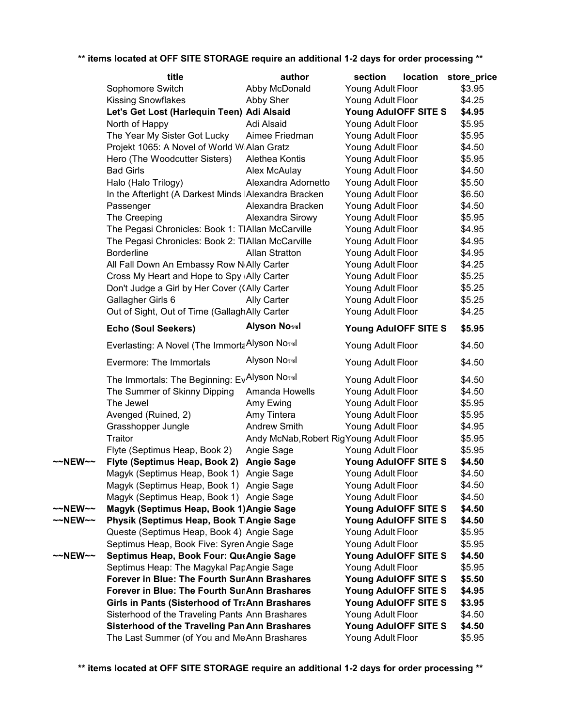|         | title                                                       | author                                  | section              | location | store_price |
|---------|-------------------------------------------------------------|-----------------------------------------|----------------------|----------|-------------|
|         | Sophomore Switch                                            | Abby McDonald                           | Young Adult Floor    |          | \$3.95      |
|         | <b>Kissing Snowflakes</b>                                   | Abby Sher                               | Young Adult Floor    |          | \$4.25      |
|         | Let's Get Lost (Harlequin Teen) Adi Alsaid                  |                                         | Young AdulOFF SITE S |          | \$4.95      |
|         | North of Happy                                              | Adi Alsaid                              | Young Adult Floor    |          | \$5.95      |
|         | The Year My Sister Got Lucky                                | Aimee Friedman                          | Young Adult Floor    |          | \$5.95      |
|         | Projekt 1065: A Novel of World W Alan Gratz                 |                                         | Young Adult Floor    |          | \$4.50      |
|         | Hero (The Woodcutter Sisters)                               | Alethea Kontis                          | Young Adult Floor    |          | \$5.95      |
|         | <b>Bad Girls</b>                                            | Alex McAulay                            | Young Adult Floor    |          | \$4.50      |
|         | Halo (Halo Trilogy)                                         | Alexandra Adornetto                     | Young Adult Floor    |          | \$5.50      |
|         | In the Afterlight (A Darkest Minds IAlexandra Bracken       |                                         | Young Adult Floor    |          | \$6.50      |
|         | Passenger                                                   | Alexandra Bracken                       | Young Adult Floor    |          | \$4.50      |
|         | The Creeping                                                | Alexandra Sirowy                        | Young Adult Floor    |          | \$5.95      |
|         | The Pegasi Chronicles: Book 1: TIAllan McCarville           |                                         | Young Adult Floor    |          | \$4.95      |
|         | The Pegasi Chronicles: Book 2: TIAllan McCarville           |                                         | Young Adult Floor    |          | \$4.95      |
|         | <b>Borderline</b>                                           | <b>Allan Stratton</b>                   | Young Adult Floor    |          | \$4.95      |
|         | All Fall Down An Embassy Row N <sub>'</sub> Ally Carter     |                                         | Young Adult Floor    |          | \$4.25      |
|         | Cross My Heart and Hope to Spy (Ally Carter                 |                                         | Young Adult Floor    |          | \$5.25      |
|         | Don't Judge a Girl by Her Cover (CAlly Carter               |                                         | Young Adult Floor    |          | \$5.25      |
|         | Gallagher Girls 6                                           | <b>Ally Carter</b>                      | Young Adult Floor    |          | \$5.25      |
|         | Out of Sight, Out of Time (GallaghAlly Carter               |                                         | Young Adult Floor    |          | \$4.25      |
|         | <b>Echo (Soul Seekers)</b>                                  | <b>Alyson Nossil</b>                    | Young AdulOFF SITE S |          | \$5.95      |
|         | Everlasting: A Novel (The Immorta Alyson No <sub>3%</sub> ) |                                         | Young Adult Floor    |          | \$4.50      |
|         | Evermore: The Immortals                                     | Alyson Noswl                            | Young Adult Floor    |          | \$4.50      |
|         | The Immortals: The Beginning: EvAlyson No <sub>3%</sub>     |                                         | Young Adult Floor    |          | \$4.50      |
|         | The Summer of Skinny Dipping                                | Amanda Howells                          | Young Adult Floor    |          | \$4.50      |
|         | The Jewel                                                   | Amy Ewing                               | Young Adult Floor    |          | \$5.95      |
|         | Avenged (Ruined, 2)                                         | Amy Tintera                             | Young Adult Floor    |          | \$5.95      |
|         | Grasshopper Jungle                                          | <b>Andrew Smith</b>                     | Young Adult Floor    |          | \$4.95      |
|         | Traitor                                                     | Andy McNab, Robert RigYoung Adult Floor |                      |          | \$5.95      |
|         | Flyte (Septimus Heap, Book 2)                               | Angie Sage                              | Young Adult Floor    |          | \$5.95      |
| ~~NEW~~ | Flyte (Septimus Heap, Book 2)                               | <b>Angie Sage</b>                       | Young AdulOFF SITE S |          | \$4.50      |
|         | Magyk (Septimus Heap, Book 1)                               | Angie Sage                              | Young Adult Floor    |          | \$4.50      |
|         | Magyk (Septimus Heap, Book 1) Angie Sage                    |                                         | Young Adult Floor    |          | \$4.50      |
|         | Magyk (Septimus Heap, Book 1) Angie Sage                    |                                         | Young Adult Floor    |          | \$4.50      |
| ~~NEW~~ | Magyk (Septimus Heap, Book 1) Angie Sage                    |                                         | Young AdulOFF SITE S |          | \$4.50      |
| ~~NEW~~ | Physik (Septimus Heap, Book T Angie Sage                    |                                         | Young AdulOFF SITE S |          | \$4.50      |
|         | Queste (Septimus Heap, Book 4) Angie Sage                   |                                         | Young Adult Floor    |          | \$5.95      |
|         | Septimus Heap, Book Five: Syren Angie Sage                  |                                         | Young Adult Floor    |          | \$5.95      |
| ~~NEW~~ | Septimus Heap, Book Four: QueAngie Sage                     |                                         | Young AdulOFF SITE S |          | \$4.50      |
|         | Septimus Heap: The Magykal PapAngie Sage                    |                                         | Young Adult Floor    |          | \$5.95      |
|         | Forever in Blue: The Fourth SunAnn Brashares                |                                         | Young AdulOFF SITE S |          | \$5.50      |
|         | Forever in Blue: The Fourth SunAnn Brashares                |                                         | Young AdulOFF SITE S |          | \$4.95      |
|         | Girls in Pants (Sisterhood of TraAnn Brashares              |                                         | Young AdulOFF SITE S |          | \$3.95      |
|         | Sisterhood of the Traveling Pants Ann Brashares             |                                         | Young Adult Floor    |          | \$4.50      |
|         | Sisterhood of the Traveling Pan Ann Brashares               |                                         | Young AdulOFF SITE S |          | \$4.50      |
|         | The Last Summer (of You and MeAnn Brashares                 |                                         | Young Adult Floor    |          | \$5.95      |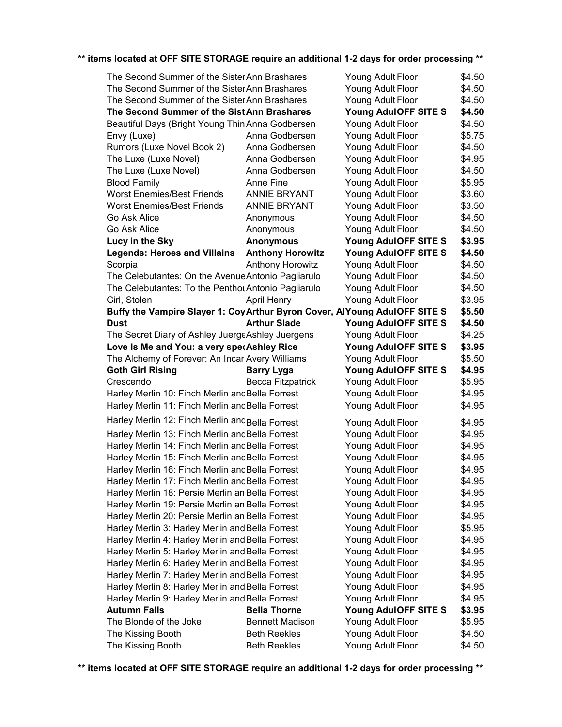| The Second Summer of the Sister Ann Brashares                             |                         | Young Adult Floor    | \$4.50 |
|---------------------------------------------------------------------------|-------------------------|----------------------|--------|
| The Second Summer of the Sister Ann Brashares                             | Young Adult Floor       | \$4.50               |        |
| The Second Summer of the Sister Ann Brashares                             |                         | Young Adult Floor    | \$4.50 |
| The Second Summer of the Sist Ann Brashares                               |                         | Young AdulOFF SITE S | \$4.50 |
| Beautiful Days (Bright Young Thin Anna Godbersen                          |                         | Young Adult Floor    | \$4.50 |
| Envy (Luxe)                                                               | Anna Godbersen          | Young Adult Floor    | \$5.75 |
| Rumors (Luxe Novel Book 2)                                                | Anna Godbersen          | Young Adult Floor    | \$4.50 |
| The Luxe (Luxe Novel)                                                     | Anna Godbersen          | Young Adult Floor    | \$4.95 |
| The Luxe (Luxe Novel)                                                     | Anna Godbersen          | Young Adult Floor    | \$4.50 |
| <b>Blood Family</b>                                                       | Anne Fine               | Young Adult Floor    | \$5.95 |
| <b>Worst Enemies/Best Friends</b>                                         | <b>ANNIE BRYANT</b>     | Young Adult Floor    | \$3.60 |
| <b>Worst Enemies/Best Friends</b>                                         | <b>ANNIE BRYANT</b>     | Young Adult Floor    | \$3.50 |
| Go Ask Alice                                                              | Anonymous               | Young Adult Floor    | \$4.50 |
| Go Ask Alice                                                              | Anonymous               | Young Adult Floor    | \$4.50 |
| Lucy in the Sky                                                           | <b>Anonymous</b>        | Young AdulOFF SITE S | \$3.95 |
| <b>Legends: Heroes and Villains</b>                                       | <b>Anthony Horowitz</b> | Young AdulOFF SITE S | \$4.50 |
| Scorpia                                                                   | <b>Anthony Horowitz</b> | Young Adult Floor    | \$4.50 |
| The Celebutantes: On the Avenue Antonio Pagliarulo                        |                         | Young Adult Floor    | \$4.50 |
| The Celebutantes: To the Penthou Antonio Pagliarulo                       |                         | Young Adult Floor    | \$4.50 |
| Girl, Stolen                                                              | <b>April Henry</b>      | Young Adult Floor    | \$3.95 |
| Buffy the Vampire Slayer 1: CoyArthur Byron Cover, AlYoung AdulOFF SITE S |                         |                      | \$5.50 |
| Dust                                                                      | <b>Arthur Slade</b>     | Young AdulOFF SITE S | \$4.50 |
| The Secret Diary of Ashley JuergeAshley Juergens                          |                         | Young Adult Floor    | \$4.25 |
| Love Is Me and You: a very specAshley Rice                                |                         | Young AdulOFF SITE S | \$3.95 |
| The Alchemy of Forever: An IncariAvery Williams                           |                         | Young Adult Floor    | \$5.50 |
| <b>Goth Girl Rising</b>                                                   | <b>Barry Lyga</b>       | Young AdulOFF SITE S | \$4.95 |
| Crescendo                                                                 | Becca Fitzpatrick       | Young Adult Floor    | \$5.95 |
| Harley Merlin 10: Finch Merlin and Bella Forrest                          |                         | Young Adult Floor    | \$4.95 |
| Harley Merlin 11: Finch Merlin and Bella Forrest                          |                         | Young Adult Floor    | \$4.95 |
| Harley Merlin 12: Finch Merlin and Bella Forrest                          |                         |                      |        |
|                                                                           |                         | Young Adult Floor    | \$4.95 |
| Harley Merlin 13: Finch Merlin and Bella Forrest                          |                         | Young Adult Floor    | \$4.95 |
| Harley Merlin 14: Finch Merlin and Bella Forrest                          |                         | Young Adult Floor    | \$4.95 |
| Harley Merlin 15: Finch Merlin and Bella Forrest                          |                         | Young Adult Floor    | \$4.95 |
| Harley Merlin 16: Finch Merlin and Bella Forrest                          |                         | Young Adult Floor    | \$4.95 |
| Harley Merlin 17: Finch Merlin andBella Forrest                           |                         | Young Adult Floor    | \$4.95 |
| Harley Merlin 18: Persie Merlin an Bella Forrest                          |                         | Young Adult Floor    | \$4.95 |
| Harley Merlin 19: Persie Merlin an Bella Forrest                          |                         | Young Adult Floor    | \$4.95 |
| Harley Merlin 20: Persie Merlin an Bella Forrest                          |                         | Young Adult Floor    | \$4.95 |
| Harley Merlin 3: Harley Merlin and Bella Forrest                          |                         | Young Adult Floor    | \$5.95 |
| Harley Merlin 4: Harley Merlin and Bella Forrest                          |                         | Young Adult Floor    | \$4.95 |
| Harley Merlin 5: Harley Merlin and Bella Forrest                          |                         | Young Adult Floor    | \$4.95 |
| Harley Merlin 6: Harley Merlin and Bella Forrest                          |                         | Young Adult Floor    | \$4.95 |
| Harley Merlin 7: Harley Merlin and Bella Forrest                          |                         | Young Adult Floor    | \$4.95 |
| Harley Merlin 8: Harley Merlin and Bella Forrest                          |                         | Young Adult Floor    | \$4.95 |
| Harley Merlin 9: Harley Merlin and Bella Forrest                          |                         | Young Adult Floor    | \$4.95 |
| <b>Autumn Falls</b>                                                       | <b>Bella Thorne</b>     | Young AdulOFF SITE S | \$3.95 |
| The Blonde of the Joke                                                    | <b>Bennett Madison</b>  | Young Adult Floor    | \$5.95 |
| The Kissing Booth                                                         | <b>Beth Reekles</b>     | Young Adult Floor    | \$4.50 |
| The Kissing Booth                                                         | <b>Beth Reekles</b>     | Young Adult Floor    | \$4.50 |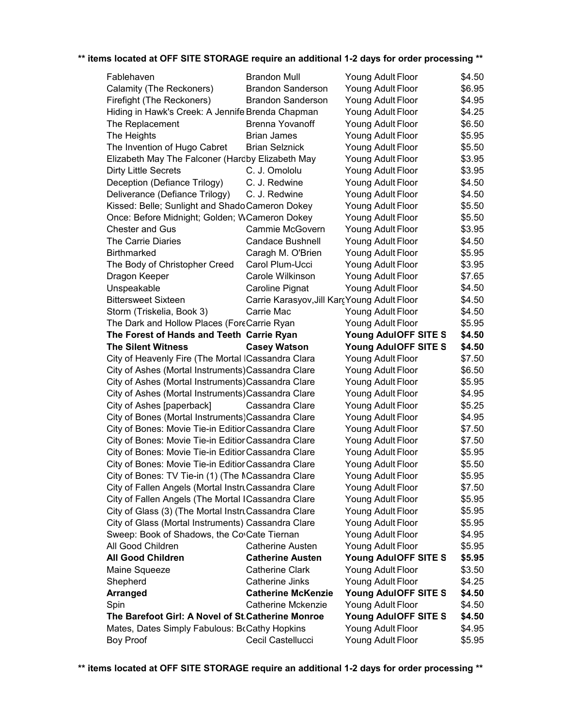| Fablehaven                                                        | <b>Brandon Mull</b>                          | Young Adult Floor                      | \$4.50           |
|-------------------------------------------------------------------|----------------------------------------------|----------------------------------------|------------------|
| Calamity (The Reckoners)                                          | <b>Brandon Sanderson</b>                     | Young Adult Floor                      | \$6.95           |
| Firefight (The Reckoners)                                         | <b>Brandon Sanderson</b>                     | Young Adult Floor                      | \$4.95           |
| Hiding in Hawk's Creek: A Jennife Brenda Chapman                  |                                              | Young Adult Floor                      | \$4.25           |
| The Replacement                                                   | Brenna Yovanoff                              | Young Adult Floor                      | \$6.50           |
| The Heights                                                       | <b>Brian James</b>                           | Young Adult Floor                      | \$5.95           |
| The Invention of Hugo Cabret                                      | <b>Brian Selznick</b>                        | Young Adult Floor                      | \$5.50           |
| Elizabeth May The Falconer (Hardby Elizabeth May                  |                                              | Young Adult Floor                      | \$3.95           |
| <b>Dirty Little Secrets</b>                                       | C. J. Omololu                                | Young Adult Floor                      | \$3.95           |
| Deception (Defiance Trilogy)                                      | C. J. Redwine                                | Young Adult Floor                      | \$4.50           |
| Deliverance (Defiance Trilogy)                                    | C. J. Redwine                                | Young Adult Floor                      | \$4.50           |
| Kissed: Belle; Sunlight and Shado Cameron Dokey                   |                                              | Young Adult Floor                      | \$5.50           |
| Once: Before Midnight; Golden; WCameron Dokey                     |                                              | Young Adult Floor                      | \$5.50           |
| <b>Chester and Gus</b>                                            | Cammie McGovern                              | Young Adult Floor                      | \$3.95           |
| The Carrie Diaries                                                | <b>Candace Bushnell</b>                      | Young Adult Floor                      | \$4.50           |
| <b>Birthmarked</b>                                                | Caragh M. O'Brien                            | Young Adult Floor                      | \$5.95           |
| The Body of Christopher Creed                                     | Carol Plum-Ucci                              | Young Adult Floor                      | \$3.95           |
| Dragon Keeper                                                     | Carole Wilkinson                             | Young Adult Floor                      | \$7.65           |
| Unspeakable                                                       | Caroline Pignat                              | Young Adult Floor                      | \$4.50           |
| <b>Bittersweet Sixteen</b>                                        | Carrie Karasyov, Jill Karç Young Adult Floor |                                        | \$4.50           |
| Storm (Triskelia, Book 3)                                         | Carrie Mac                                   | Young Adult Floor                      | \$4.50           |
| The Dark and Hollow Places (ForeCarrie Ryan                       |                                              | Young Adult Floor                      | \$5.95           |
| The Forest of Hands and Teeth Carrie Ryan                         |                                              | Young AdulOFF SITE S                   | \$4.50           |
| <b>The Silent Witness</b>                                         | <b>Casey Watson</b>                          | Young AdulOFF SITE S                   | \$4.50           |
|                                                                   |                                              |                                        |                  |
|                                                                   |                                              |                                        |                  |
| City of Heavenly Fire (The Mortal ICassandra Clara                |                                              | Young Adult Floor                      | \$7.50           |
| City of Ashes (Mortal Instruments) Cassandra Clare                |                                              | Young Adult Floor                      | \$6.50           |
| City of Ashes (Mortal Instruments) Cassandra Clare                |                                              | Young Adult Floor                      | \$5.95           |
| City of Ashes (Mortal Instruments) Cassandra Clare                |                                              | Young Adult Floor                      | \$4.95           |
| City of Ashes [paperback]                                         | Cassandra Clare                              | Young Adult Floor                      | \$5.25           |
| City of Bones (Mortal Instruments) Cassandra Clare                |                                              | Young Adult Floor                      | \$4.95           |
| City of Bones: Movie Tie-in Editior Cassandra Clare               |                                              | Young Adult Floor                      | \$7.50           |
| City of Bones: Movie Tie-in Editior Cassandra Clare               |                                              | Young Adult Floor                      | \$7.50           |
| City of Bones: Movie Tie-in Editior Cassandra Clare               |                                              | Young Adult Floor                      | \$5.95           |
| City of Bones: Movie Tie-in Editior Cassandra Clare               |                                              | Young Adult Floor                      | \$5.50           |
| City of Bones: TV Tie-in (1) (The NCassandra Clare                |                                              | Young Adult Floor                      | \$5.95           |
| City of Fallen Angels (Mortal InstruCassandra Clare               |                                              | Young Adult Floor                      | \$7.50           |
| City of Fallen Angels (The Mortal ICassandra Clare                |                                              | Young Adult Floor                      | \$5.95           |
| City of Glass (3) (The Mortal InstruCassandra Clare               |                                              | Young Adult Floor                      | \$5.95           |
| City of Glass (Mortal Instruments) Cassandra Clare                |                                              | Young Adult Floor                      | \$5.95           |
| Sweep: Book of Shadows, the CovCate Tiernan                       |                                              | Young Adult Floor                      | \$4.95           |
| All Good Children                                                 | <b>Catherine Austen</b>                      | Young Adult Floor                      | \$5.95           |
| <b>All Good Children</b>                                          | <b>Catherine Austen</b>                      | Young AdulOFF SITE S                   | \$5.95           |
| Maine Squeeze                                                     | <b>Catherine Clark</b>                       | Young Adult Floor                      | \$3.50           |
| Shepherd                                                          | Catherine Jinks                              | Young Adult Floor                      | \$4.25           |
| <b>Arranged</b>                                                   | <b>Catherine McKenzie</b>                    | Young AdulOFF SITE S                   | \$4.50           |
| Spin                                                              | Catherine Mckenzie                           | Young Adult Floor                      | \$4.50           |
| The Barefoot Girl: A Novel of St. Catherine Monroe                |                                              | Young AdulOFF SITE S                   | \$4.50           |
| Mates, Dates Simply Fabulous: BcCathy Hopkins<br><b>Boy Proof</b> | Cecil Castellucci                            | Young Adult Floor<br>Young Adult Floor | \$4.95<br>\$5.95 |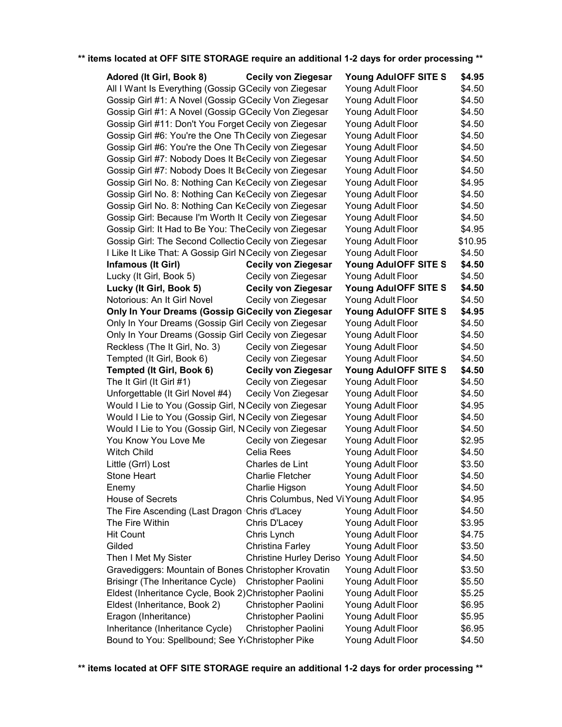| Adored (It Girl, Book 8)<br>Young AdulOFF SITE S<br><b>Cecily von Ziegesar</b>  | \$4.95  |
|---------------------------------------------------------------------------------|---------|
| All I Want Is Everything (Gossip GCecily von Ziegesar<br>Young Adult Floor      | \$4.50  |
| Gossip Girl #1: A Novel (Gossip GCecily Von Ziegesar<br>Young Adult Floor       | \$4.50  |
| Gossip Girl #1: A Novel (Gossip GCecily Von Ziegesar<br>Young Adult Floor       | \$4.50  |
| Gossip Girl #11: Don't You Forget Cecily von Ziegesar<br>Young Adult Floor      | \$4.50  |
| Gossip Girl #6: You're the One Th Cecily von Ziegesar<br>Young Adult Floor      | \$4.50  |
| Gossip Girl #6: You're the One Th Cecily von Ziegesar<br>Young Adult Floor      | \$4.50  |
| Gossip Girl #7: Nobody Does It BeCecily von Ziegesar<br>Young Adult Floor       | \$4.50  |
| Gossip Girl #7: Nobody Does It BeCecily von Ziegesar<br>Young Adult Floor       | \$4.50  |
| Gossip Girl No. 8: Nothing Can KeCecily von Ziegesar<br>Young Adult Floor       | \$4.95  |
| Gossip Girl No. 8: Nothing Can KeCecily von Ziegesar<br>Young Adult Floor       | \$4.50  |
| Gossip Girl No. 8: Nothing Can KeCecily von Ziegesar<br>Young Adult Floor       | \$4.50  |
| Gossip Girl: Because I'm Worth It Cecily von Ziegesar<br>Young Adult Floor      | \$4.50  |
| Gossip Girl: It Had to Be You: TheCecily von Ziegesar<br>Young Adult Floor      | \$4.95  |
| Gossip Girl: The Second Collectio Cecily von Ziegesar<br>Young Adult Floor      | \$10.95 |
| I Like It Like That: A Gossip Girl N Cecily von Ziegesar<br>Young Adult Floor   | \$4.50  |
| <b>Cecily von Ziegesar</b><br>Infamous (It Girl)<br>Young AdulOFF SITE S        | \$4.50  |
| Lucky (It Girl, Book 5)<br>Cecily von Ziegesar<br>Young Adult Floor             | \$4.50  |
| Lucky (It Girl, Book 5)<br><b>Cecily von Ziegesar</b><br>Young AdulOFF SITE S   | \$4.50  |
| Notorious: An It Girl Novel<br>Cecily von Ziegesar<br>Young Adult Floor         | \$4.50  |
| Only In Your Dreams (Gossip GiCecily von Ziegesar<br>Young AdulOFF SITE S       | \$4.95  |
| Only In Your Dreams (Gossip Girl Cecily von Ziegesar<br>Young Adult Floor       | \$4.50  |
| Only In Your Dreams (Gossip Girl Cecily von Ziegesar<br>Young Adult Floor       | \$4.50  |
| Reckless (The It Girl, No. 3)<br>Cecily von Ziegesar<br>Young Adult Floor       | \$4.50  |
| Tempted (It Girl, Book 6)<br>Cecily von Ziegesar<br>Young Adult Floor           | \$4.50  |
| Tempted (It Girl, Book 6)<br><b>Cecily von Ziegesar</b><br>Young AdulOFF SITE S | \$4.50  |
| The It Girl (It Girl #1)<br>Cecily von Ziegesar<br>Young Adult Floor            | \$4.50  |
| Unforgettable (It Girl Novel #4)<br>Cecily Von Ziegesar<br>Young Adult Floor    | \$4.50  |
| Would I Lie to You (Gossip Girl, N Cecily von Ziegesar<br>Young Adult Floor     | \$4.95  |
| Would I Lie to You (Gossip Girl, N Cecily von Ziegesar<br>Young Adult Floor     | \$4.50  |
| Would I Lie to You (Gossip Girl, NCecily von Ziegesar<br>Young Adult Floor      | \$4.50  |
| You Know You Love Me<br>Cecily von Ziegesar<br>Young Adult Floor                | \$2.95  |
| <b>Witch Child</b><br>Celia Rees<br>Young Adult Floor                           | \$4.50  |
| Young Adult Floor<br>Little (Grrl) Lost<br>Charles de Lint                      | \$3.50  |
|                                                                                 |         |
| <b>Charlie Fletcher</b><br>Young Adult Floor<br><b>Stone Heart</b>              | \$4.50  |
| Charlie Higson<br>Enemy<br>Young Adult Floor                                    | \$4.50  |
| <b>House of Secrets</b><br>Chris Columbus, Ned Vi Young Adult Floor             | \$4.95  |
| The Fire Ascending (Last Dragon Chris d'Lacey<br>Young Adult Floor              | \$4.50  |
| Chris D'Lacey<br>Young Adult Floor<br>The Fire Within                           | \$3.95  |
| Chris Lynch<br><b>Hit Count</b><br>Young Adult Floor                            | \$4.75  |
| Christina Farley<br>Gilded<br>Young Adult Floor                                 | \$3.50  |
| Young Adult Floor<br>Then I Met My Sister<br><b>Christine Hurley Deriso</b>     | \$4.50  |
| Gravediggers: Mountain of Bones Christopher Krovatin<br>Young Adult Floor       | \$3.50  |
| Brisingr (The Inheritance Cycle)<br>Christopher Paolini<br>Young Adult Floor    | \$5.50  |
| Eldest (Inheritance Cycle, Book 2) Christopher Paolini<br>Young Adult Floor     | \$5.25  |
| Eldest (Inheritance, Book 2)<br>Christopher Paolini<br>Young Adult Floor        | \$6.95  |
| Eragon (Inheritance)<br>Christopher Paolini<br>Young Adult Floor                | \$5.95  |
| Inheritance (Inheritance Cycle)<br>Christopher Paolini<br>Young Adult Floor     | \$6.95  |
| Bound to You: Spellbound; See Y Christopher Pike<br>Young Adult Floor           | \$4.50  |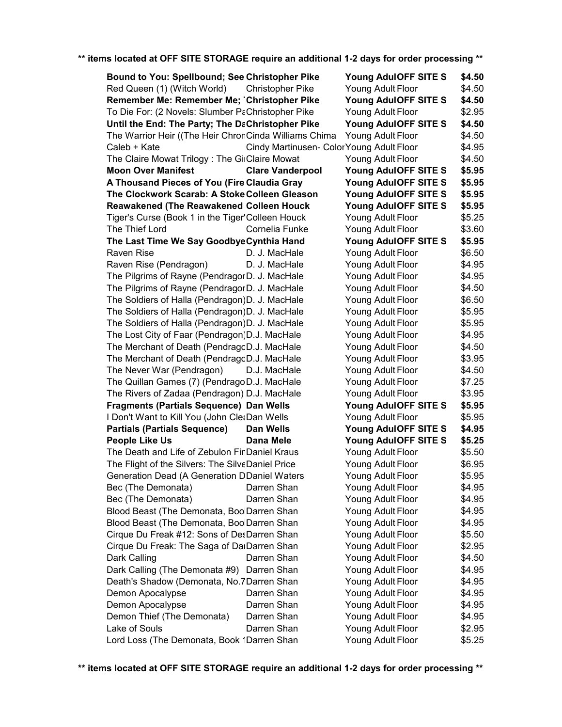| <b>Bound to You: Spellbound; See Christopher Pike</b> |                                           | Young AdulOFF SITE S | \$4.50 |
|-------------------------------------------------------|-------------------------------------------|----------------------|--------|
| Red Queen (1) (Witch World)                           | <b>Christopher Pike</b>                   | Young Adult Floor    | \$4.50 |
| Remember Me: Remember Me; Christopher Pike            |                                           | Young AdulOFF SITE S | \$4.50 |
| To Die For: (2 Novels: Slumber PaChristopher Pike     |                                           | Young Adult Floor    | \$2.95 |
| Until the End: The Party; The DaChristopher Pike      |                                           | Young AdulOFF SITE S | \$4.50 |
| The Warrior Heir ((The Heir ChronCinda Williams Chima |                                           | Young Adult Floor    | \$4.50 |
| Caleb + Kate                                          | Cindy Martinusen- Color Young Adult Floor |                      | \$4.95 |
| The Claire Mowat Trilogy: The GiiClaire Mowat         |                                           | Young Adult Floor    | \$4.50 |
| <b>Moon Over Manifest</b>                             | <b>Clare Vanderpool</b>                   | Young AdulOFF SITE S | \$5.95 |
| A Thousand Pieces of You (Fire Claudia Gray           |                                           | Young AdulOFF SITE S | \$5.95 |
| The Clockwork Scarab: A Stoke Colleen Gleason         |                                           | Young AdulOFF SITE S | \$5.95 |
| <b>Reawakened (The Reawakened Colleen Houck</b>       |                                           | Young AdulOFF SITE S | \$5.95 |
| Tiger's Curse (Book 1 in the Tiger' Colleen Houck     |                                           | Young Adult Floor    | \$5.25 |
| The Thief Lord                                        | Cornelia Funke                            | Young Adult Floor    | \$3.60 |
| The Last Time We Say Goodbye Cynthia Hand             |                                           | Young AdulOFF SITE S | \$5.95 |
| Raven Rise                                            | D. J. MacHale                             | Young Adult Floor    | \$6.50 |
| Raven Rise (Pendragon)                                | D. J. MacHale                             | Young Adult Floor    | \$4.95 |
| The Pilgrims of Rayne (PendragorD. J. MacHale         |                                           | Young Adult Floor    | \$4.95 |
| The Pilgrims of Rayne (PendragorD. J. MacHale         |                                           | Young Adult Floor    | \$4.50 |
| The Soldiers of Halla (Pendragon)D. J. MacHale        |                                           | Young Adult Floor    | \$6.50 |
| The Soldiers of Halla (Pendragon)D. J. MacHale        |                                           | Young Adult Floor    | \$5.95 |
| The Soldiers of Halla (Pendragon)D. J. MacHale        |                                           | Young Adult Floor    | \$5.95 |
| The Lost City of Faar (Pendragon) D.J. MacHale        |                                           | Young Adult Floor    | \$4.95 |
| The Merchant of Death (PendragoD.J. MacHale           |                                           | Young Adult Floor    | \$4.50 |
| The Merchant of Death (PendragoD.J. MacHale           |                                           | Young Adult Floor    | \$3.95 |
| The Never War (Pendragon)                             | D.J. MacHale                              | Young Adult Floor    | \$4.50 |
| The Quillan Games (7) (Pendrago D.J. MacHale          |                                           | Young Adult Floor    | \$7.25 |
| The Rivers of Zadaa (Pendragon) D.J. MacHale          |                                           | Young Adult Floor    | \$3.95 |
| <b>Fragments (Partials Sequence) Dan Wells</b>        |                                           | Young AdulOFF SITE S | \$5.95 |
| I Don't Want to Kill You (John CletDan Wells          |                                           | Young Adult Floor    | \$5.95 |
| <b>Partials (Partials Sequence)</b>                   | Dan Wells                                 | Young AdulOFF SITE S | \$4.95 |
| <b>People Like Us</b>                                 | Dana Mele                                 | Young AdulOFF SITE S | \$5.25 |
| The Death and Life of Zebulon FinDaniel Kraus         |                                           | Young Adult Floor    | \$5.50 |
| The Flight of the Silvers: The SilveDaniel Price      |                                           | Young Adult Floor    | \$6.95 |
| <b>Generation Dead (A Generation DDaniel Waters</b>   |                                           | Young Adult Floor    | \$5.95 |
| Bec (The Demonata)                                    | Darren Shan                               | Young Adult Floor    | \$4.95 |
| Bec (The Demonata)                                    | Darren Shan                               | Young Adult Floor    | \$4.95 |
| Blood Beast (The Demonata, BoolDarren Shan            |                                           | Young Adult Floor    | \$4.95 |
| Blood Beast (The Demonata, BoolDarren Shan            |                                           | Young Adult Floor    | \$4.95 |
| Cirque Du Freak #12: Sons of DesDarren Shan           |                                           | Young Adult Floor    | \$5.50 |
| Cirque Du Freak: The Saga of DarDarren Shan           |                                           | Young Adult Floor    | \$2.95 |
|                                                       | Darren Shan                               |                      | \$4.50 |
| Dark Calling                                          |                                           | Young Adult Floor    |        |
| Dark Calling (The Demonata #9) Darren Shan            |                                           | Young Adult Floor    | \$4.95 |
| Death's Shadow (Demonata, No.7Darren Shan             |                                           | Young Adult Floor    | \$4.95 |
| Demon Apocalypse                                      | Darren Shan                               | Young Adult Floor    | \$4.95 |
| Demon Apocalypse                                      | Darren Shan                               | Young Adult Floor    | \$4.95 |
| Demon Thief (The Demonata)                            | Darren Shan                               | Young Adult Floor    | \$4.95 |
| Lake of Souls                                         | Darren Shan                               | Young Adult Floor    | \$2.95 |
| Lord Loss (The Demonata, Book 1Darren Shan            |                                           | Young Adult Floor    | \$5.25 |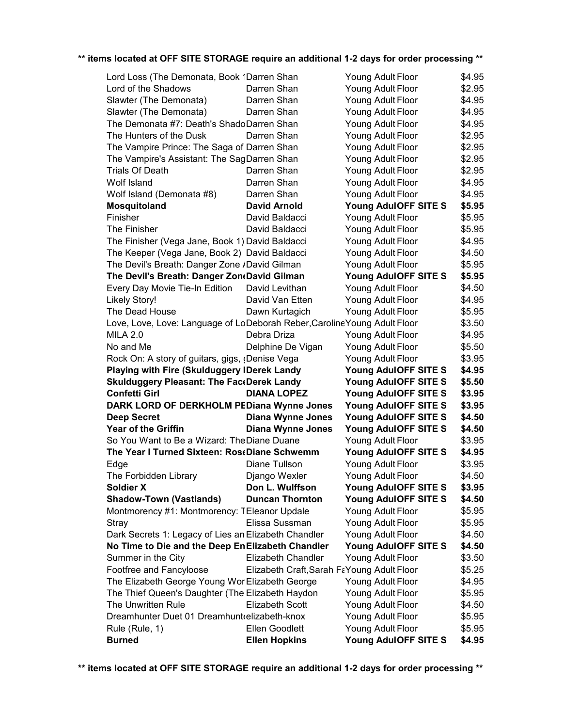| Lord Loss (The Demonata, Book 1Darren Shan                                |                                            | Young Adult Floor    | \$4.95 |
|---------------------------------------------------------------------------|--------------------------------------------|----------------------|--------|
| Lord of the Shadows                                                       | Darren Shan                                | Young Adult Floor    | \$2.95 |
| Slawter (The Demonata)                                                    | Darren Shan                                | Young Adult Floor    | \$4.95 |
| Slawter (The Demonata)                                                    | Darren Shan                                | Young Adult Floor    | \$4.95 |
| The Demonata #7: Death's ShadoDarren Shan                                 |                                            | Young Adult Floor    | \$4.95 |
| The Hunters of the Dusk                                                   | Darren Shan                                | Young Adult Floor    | \$2.95 |
| The Vampire Prince: The Saga of Darren Shan                               |                                            | Young Adult Floor    | \$2.95 |
| The Vampire's Assistant: The SagDarren Shan                               |                                            | Young Adult Floor    | \$2.95 |
| <b>Trials Of Death</b>                                                    | Darren Shan                                | Young Adult Floor    | \$2.95 |
| Wolf Island                                                               | Darren Shan                                | Young Adult Floor    | \$4.95 |
| Wolf Island (Demonata #8)                                                 | Darren Shan                                | Young Adult Floor    | \$4.95 |
| Mosquitoland                                                              | <b>David Arnold</b>                        | Young AdulOFF SITE S | \$5.95 |
| Finisher                                                                  | David Baldacci                             | Young Adult Floor    | \$5.95 |
| The Finisher                                                              | David Baldacci                             | Young Adult Floor    | \$5.95 |
| The Finisher (Vega Jane, Book 1) David Baldacci                           |                                            | Young Adult Floor    | \$4.95 |
| The Keeper (Vega Jane, Book 2) David Baldacci                             |                                            | Young Adult Floor    | \$4.50 |
| The Devil's Breath: Danger Zone /David Gilman                             |                                            | Young Adult Floor    | \$5.95 |
| The Devil's Breath: Danger Zon(David Gilman                               |                                            | Young AdulOFF SITE S | \$5.95 |
| Every Day Movie Tie-In Edition                                            | David Levithan                             | Young Adult Floor    | \$4.50 |
| <b>Likely Story!</b>                                                      | David Van Etten                            | Young Adult Floor    | \$4.95 |
| The Dead House                                                            | Dawn Kurtagich                             | Young Adult Floor    | \$5.95 |
| Love, Love, Love: Language of LoDeborah Reber, Caroline Young Adult Floor |                                            |                      | \$3.50 |
| <b>MILA 2.0</b>                                                           | Debra Driza                                | Young Adult Floor    | \$4.95 |
| No and Me                                                                 | Delphine De Vigan                          | Young Adult Floor    | \$5.50 |
| Rock On: A story of guitars, gigs, (Denise Vega                           |                                            | Young Adult Floor    | \$3.95 |
| Playing with Fire (Skulduggery IDerek Landy                               |                                            | Young AdulOFF SITE S | \$4.95 |
| <b>Skulduggery Pleasant: The FaceDerek Landy</b>                          |                                            | Young AdulOFF SITE S | \$5.50 |
| <b>Confetti Girl</b>                                                      | <b>DIANA LOPEZ</b>                         | Young AdulOFF SITE S | \$3.95 |
| DARK LORD OF DERKHOLM PEDiana Wynne Jones                                 |                                            | Young AdulOFF SITE S | \$3.95 |
| <b>Deep Secret</b>                                                        | <b>Diana Wynne Jones</b>                   | Young AdulOFF SITE S | \$4.50 |
| <b>Year of the Griffin</b>                                                | <b>Diana Wynne Jones</b>                   | Young AdulOFF SITE S | \$4.50 |
| So You Want to Be a Wizard: The Diane Duane                               |                                            | Young Adult Floor    | \$3.95 |
| The Year I Turned Sixteen: RoseDiane Schwemm                              |                                            | Young AdulOFF SITE S | \$4.95 |
| Edge                                                                      | Diane Tullson                              | Young Adult Floor    | \$3.95 |
| The Forbidden Library                                                     | Django Wexler                              | Young Adult Floor    | \$4.50 |
| <b>Soldier X</b>                                                          | Don L. Wulffson                            | Young AdulOFF SITE S | \$3.95 |
| <b>Shadow-Town (Vastlands)</b>                                            | <b>Duncan Thornton</b>                     | Young AdulOFF SITE S | \$4.50 |
| Montmorency #1: Montmorency: TEleanor Updale                              |                                            | Young Adult Floor    | \$5.95 |
| Stray                                                                     | Elissa Sussman                             | Young Adult Floor    | \$5.95 |
| Dark Secrets 1: Legacy of Lies an Elizabeth Chandler                      |                                            | Young Adult Floor    | \$4.50 |
| No Time to Die and the Deep EnElizabeth Chandler                          |                                            | Young AdulOFF SITE S | \$4.50 |
| Summer in the City                                                        | Elizabeth Chandler                         | Young Adult Floor    | \$3.50 |
| Footfree and Fancyloose                                                   | Elizabeth Craft, Sarah FaYoung Adult Floor |                      | \$5.25 |
| The Elizabeth George Young WonElizabeth George                            |                                            | Young Adult Floor    | \$4.95 |
| The Thief Queen's Daughter (The Elizabeth Haydon                          |                                            | Young Adult Floor    | \$5.95 |
| The Unwritten Rule                                                        | <b>Elizabeth Scott</b>                     | Young Adult Floor    | \$4.50 |
| Dreamhunter Duet 01 Dreamhunt elizabeth-knox                              |                                            | Young Adult Floor    | \$5.95 |
| Rule (Rule, 1)                                                            | Ellen Goodlett                             | Young Adult Floor    | \$5.95 |
| <b>Burned</b>                                                             | <b>Ellen Hopkins</b>                       | Young AdulOFF SITE S | \$4.95 |
|                                                                           |                                            |                      |        |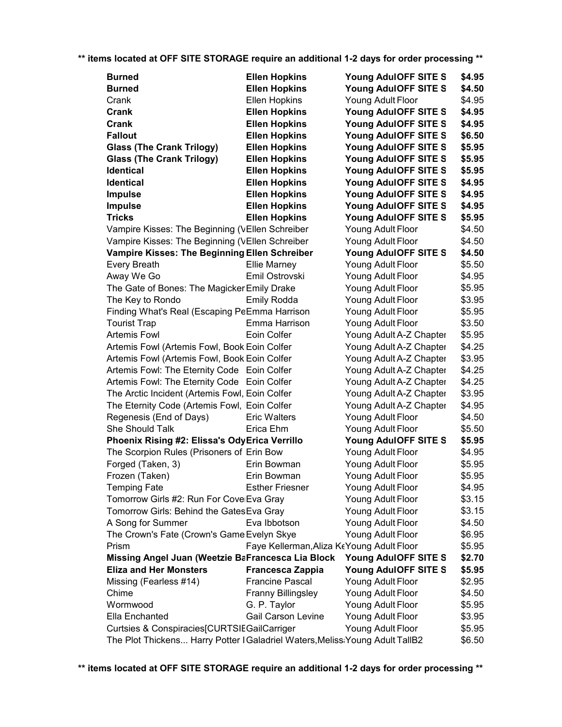| <b>Burned</b>                                                                | <b>Ellen Hopkins</b>                      | Young AdulOFF SITE S    | \$4.95 |
|------------------------------------------------------------------------------|-------------------------------------------|-------------------------|--------|
| <b>Burned</b>                                                                | <b>Ellen Hopkins</b>                      | Young AdulOFF SITE S    | \$4.50 |
| Crank                                                                        | Ellen Hopkins                             | Young Adult Floor       | \$4.95 |
| Crank                                                                        | <b>Ellen Hopkins</b>                      | Young AdulOFF SITE S    | \$4.95 |
| Crank                                                                        | <b>Ellen Hopkins</b>                      | Young AdulOFF SITE S    | \$4.95 |
| <b>Fallout</b>                                                               | <b>Ellen Hopkins</b>                      | Young AdulOFF SITE S    | \$6.50 |
| <b>Glass (The Crank Trilogy)</b>                                             | <b>Ellen Hopkins</b>                      | Young AdulOFF SITE S    | \$5.95 |
| <b>Glass (The Crank Trilogy)</b>                                             | <b>Ellen Hopkins</b>                      | Young AdulOFF SITE S    | \$5.95 |
| <b>Identical</b>                                                             | <b>Ellen Hopkins</b>                      | Young AdulOFF SITE S    | \$5.95 |
| <b>Identical</b>                                                             | <b>Ellen Hopkins</b>                      | Young AdulOFF SITE S    | \$4.95 |
| <b>Impulse</b>                                                               | <b>Ellen Hopkins</b>                      | Young AdulOFF SITE S    | \$4.95 |
| <b>Impulse</b>                                                               | <b>Ellen Hopkins</b>                      | Young AdulOFF SITE S    | \$4.95 |
| <b>Tricks</b>                                                                | <b>Ellen Hopkins</b>                      | Young AdulOFF SITE S    | \$5.95 |
| Vampire Kisses: The Beginning (VEllen Schreiber                              |                                           | Young Adult Floor       | \$4.50 |
| Vampire Kisses: The Beginning (VEllen Schreiber                              |                                           | Young Adult Floor       | \$4.50 |
| Vampire Kisses: The Beginning Ellen Schreiber                                |                                           | Young AdulOFF SITE S    | \$4.50 |
| <b>Every Breath</b>                                                          | <b>Ellie Marney</b>                       | Young Adult Floor       | \$5.50 |
| Away We Go                                                                   | Emil Ostrovski                            | Young Adult Floor       | \$4.95 |
| The Gate of Bones: The Magicker Emily Drake                                  |                                           | Young Adult Floor       | \$5.95 |
| The Key to Rondo                                                             | <b>Emily Rodda</b>                        | Young Adult Floor       | \$3.95 |
| Finding What's Real (Escaping PeEmma Harrison                                |                                           | Young Adult Floor       | \$5.95 |
| <b>Tourist Trap</b>                                                          | Emma Harrison                             | Young Adult Floor       | \$3.50 |
| <b>Artemis Fowl</b>                                                          | Eoin Colfer                               | Young Adult A-Z Chapter | \$5.95 |
| Artemis Fowl (Artemis Fowl, Book Eoin Colfer                                 |                                           | Young Adult A-Z Chapter | \$4.25 |
| Artemis Fowl (Artemis Fowl, Book Eoin Colfer                                 |                                           | Young Adult A-Z Chapter | \$3.95 |
| Artemis Fowl: The Eternity Code Eoin Colfer                                  |                                           | Young Adult A-Z Chapter | \$4.25 |
| Artemis Fowl: The Eternity Code Eoin Colfer                                  |                                           | Young Adult A-Z Chapter | \$4.25 |
| The Arctic Incident (Artemis Fowl, Eoin Colfer                               |                                           | Young Adult A-Z Chapter | \$3.95 |
| The Eternity Code (Artemis Fowl, IEoin Colfer                                |                                           | Young Adult A-Z Chapter | \$4.95 |
| Regenesis (End of Days)                                                      | <b>Eric Walters</b>                       | Young Adult Floor       | \$4.50 |
| She Should Talk                                                              | Erica Ehm                                 | Young Adult Floor       | \$5.50 |
| Phoenix Rising #2: Elissa's OdyErica Verrillo                                |                                           | Young AdulOFF SITE S    | \$5.95 |
| The Scorpion Rules (Prisoners of Erin Bow                                    |                                           | Young Adult Floor       | \$4.95 |
| Forged (Taken, 3)                                                            | Erin Bowman                               | Young Adult Floor       | \$5.95 |
| Frozen (Taken)                                                               | Erin Bowman                               | Young Adult Floor       | \$5.95 |
| <b>Temping Fate</b>                                                          | <b>Esther Friesner</b>                    | Young Adult Floor       | \$4.95 |
| Tomorrow Girls #2: Run For CovelEva Gray                                     |                                           | Young Adult Floor       | \$3.15 |
| Tomorrow Girls: Behind the Gates Eva Gray                                    |                                           | Young Adult Floor       | \$3.15 |
| A Song for Summer                                                            | Eva Ibbotson                              | Young Adult Floor       | \$4.50 |
| The Crown's Fate (Crown's Game Evelyn Skye                                   |                                           | Young Adult Floor       | \$6.95 |
| Prism                                                                        | Faye Kellerman, Aliza KeYoung Adult Floor |                         | \$5.95 |
| Missing Angel Juan (Weetzie BaFrancesca Lia Block                            |                                           | Young AdulOFF SITE S    | \$2.70 |
| <b>Eliza and Her Monsters</b>                                                | <b>Francesca Zappia</b>                   | Young AdulOFF SITE S    | \$5.95 |
| Missing (Fearless #14)                                                       | <b>Francine Pascal</b>                    | Young Adult Floor       | \$2.95 |
| Chime                                                                        | <b>Franny Billingsley</b>                 | Young Adult Floor       | \$4.50 |
| Wormwood                                                                     | G. P. Taylor                              | Young Adult Floor       | \$5.95 |
| Ella Enchanted                                                               | Gail Carson Levine                        | Young Adult Floor       | \$3.95 |
| Curtsies & Conspiracies[CURTSIEGailCarriger                                  |                                           | Young Adult Floor       | \$5.95 |
| The Plot Thickens Harry Potter I Galadriel Waters, Meliss Young Adult TallB2 |                                           |                         | \$6.50 |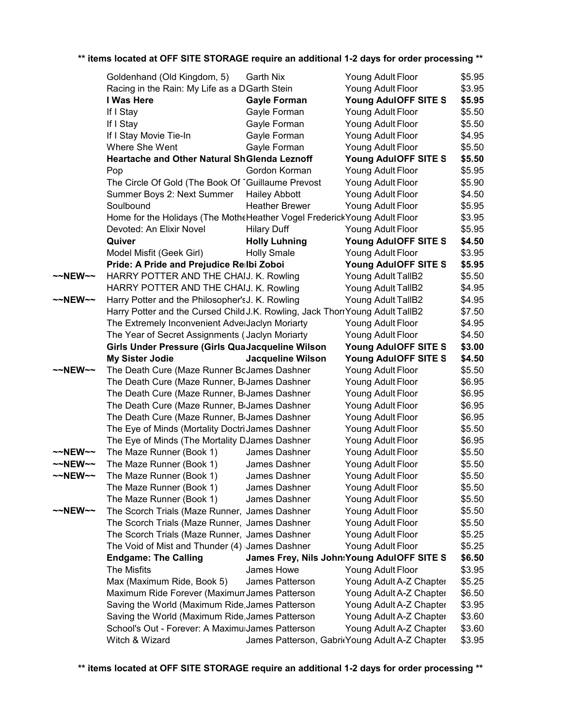|         | Goldenhand (Old Kingdom, 5)                                                  | Garth Nix                | Young Adult Floor                              | \$5.95 |
|---------|------------------------------------------------------------------------------|--------------------------|------------------------------------------------|--------|
|         | Racing in the Rain: My Life as a DGarth Stein                                |                          | Young Adult Floor                              | \$3.95 |
|         | I Was Here                                                                   | <b>Gayle Forman</b>      | Young AdulOFF SITE S                           | \$5.95 |
|         | If I Stay                                                                    | Gayle Forman             | Young Adult Floor                              | \$5.50 |
|         | If I Stay                                                                    | Gayle Forman             | Young Adult Floor                              | \$5.50 |
|         | If I Stay Movie Tie-In                                                       | Gayle Forman             | Young Adult Floor                              | \$4.95 |
|         | Where She Went                                                               | Gayle Forman             | Young Adult Floor                              | \$5.50 |
|         | Heartache and Other Natural ShGlenda Leznoff                                 |                          | Young AdulOFF SITE S                           | \$5.50 |
|         | Pop                                                                          | Gordon Korman            | Young Adult Floor                              | \$5.95 |
|         | The Circle Of Gold (The Book Of IGuillaume Prevost                           |                          | Young Adult Floor                              | \$5.90 |
|         | Summer Boys 2: Next Summer                                                   | <b>Hailey Abbott</b>     | Young Adult Floor                              | \$4.50 |
|         | Soulbound                                                                    | <b>Heather Brewer</b>    | Young Adult Floor                              | \$5.95 |
|         | Home for the Holidays (The MotheHeather Vogel Frederick Young Adult Floor    |                          |                                                | \$3.95 |
|         | Devoted: An Elixir Novel                                                     | <b>Hilary Duff</b>       | Young Adult Floor                              | \$5.95 |
|         | Quiver                                                                       | <b>Holly Luhning</b>     | Young AdulOFF SITE S                           | \$4.50 |
|         | Model Misfit (Geek Girl)                                                     | <b>Holly Smale</b>       | Young Adult Floor                              | \$3.95 |
|         | Pride: A Pride and Prejudice Relbi Zoboi                                     |                          | Young AdulOFF SITE S                           | \$5.95 |
| ~~NEW~~ | HARRY POTTER AND THE CHAIJ. K. Rowling                                       |                          | Young Adult TallB2                             | \$5.50 |
|         | HARRY POTTER AND THE CHAIJ. K. Rowling                                       |                          | Young Adult TallB2                             | \$4.95 |
| ~~NEW~~ | Harry Potter and the Philosopher'sJ. K. Rowling                              |                          | Young Adult TallB2                             | \$4.95 |
|         | Harry Potter and the Cursed Child J.K. Rowling, Jack ThorrYoung Adult TallB2 |                          |                                                | \$7.50 |
|         | The Extremely Inconvenient AdverJaclyn Moriarty                              |                          | Young Adult Floor                              | \$4.95 |
|         | The Year of Secret Assignments (Jaclyn Moriarty                              |                          | Young Adult Floor                              | \$4.50 |
|         | Girls Under Pressure (Girls QuaJacqueline Wilson                             |                          | Young AdulOFF SITE S                           | \$3.00 |
|         | <b>My Sister Jodie</b>                                                       | <b>Jacqueline Wilson</b> | Young AdulOFF SITE S                           | \$4.50 |
| ~~NEW~~ | The Death Cure (Maze Runner BcJames Dashner                                  |                          | Young Adult Floor                              | \$5.50 |
|         | The Death Cure (Maze Runner, BiJames Dashner                                 |                          | Young Adult Floor                              | \$6.95 |
|         | The Death Cure (Maze Runner, BiJames Dashner                                 |                          | Young Adult Floor                              | \$6.95 |
|         | The Death Cure (Maze Runner, B <sub>I</sub> James Dashner                    |                          | Young Adult Floor                              | \$6.95 |
|         | The Death Cure (Maze Runner, B <sub>I</sub> James Dashner                    |                          | Young Adult Floor                              | \$6.95 |
|         | The Eye of Minds (Mortality Doctri James Dashner                             |                          | Young Adult Floor                              | \$5.50 |
|         | The Eye of Minds (The Mortality DJames Dashner                               |                          | Young Adult Floor                              | \$6.95 |
| ~~NEW~~ | The Maze Runner (Book 1)                                                     | James Dashner            | Young Adult Floor                              | \$5.50 |
| ~~NEW~~ | The Maze Runner (Book 1)                                                     | James Dashner            | Young Adult Floor                              | \$5.50 |
| ~~NEW~~ | The Maze Runner (Book 1)                                                     | James Dashner            | Young Adult Floor                              | \$5.50 |
|         | The Maze Runner (Book 1)                                                     | James Dashner            | Young Adult Floor                              | \$5.50 |
|         | The Maze Runner (Book 1)                                                     | James Dashner            | Young Adult Floor                              | \$5.50 |
| ~~NEW~~ | The Scorch Trials (Maze Runner, James Dashner                                |                          | Young Adult Floor                              | \$5.50 |
|         | The Scorch Trials (Maze Runner, James Dashner                                |                          | Young Adult Floor                              | \$5.50 |
|         | The Scorch Trials (Maze Runner, James Dashner                                |                          | Young Adult Floor                              | \$5.25 |
|         | The Void of Mist and Thunder (4) James Dashner                               |                          | Young Adult Floor                              | \$5.25 |
|         | <b>Endgame: The Calling</b>                                                  |                          | James Frey, Nils John: Young Adul OFF SITE S   | \$6.50 |
|         | <b>The Misfits</b>                                                           | James Howe               | Young Adult Floor                              | \$3.95 |
|         | Max (Maximum Ride, Book 5)                                                   | James Patterson          | Young Adult A-Z Chapter                        | \$5.25 |
|         | Maximum Ride Forever (MaximumJames Patterson                                 |                          | Young Adult A-Z Chapter                        | \$6.50 |
|         | Saving the World (Maximum Ride, James Patterson                              |                          | Young Adult A-Z Chapter                        | \$3.95 |
|         | Saving the World (Maximum Ride, James Patterson                              |                          | Young Adult A-Z Chapter                        | \$3.60 |
|         | School's Out - Forever: A MaximuiJames Patterson                             |                          | Young Adult A-Z Chapter                        | \$3.60 |
|         | Witch & Wizard                                                               |                          | James Patterson, GabritYoung Adult A-Z Chapter | \$3.95 |
|         |                                                                              |                          |                                                |        |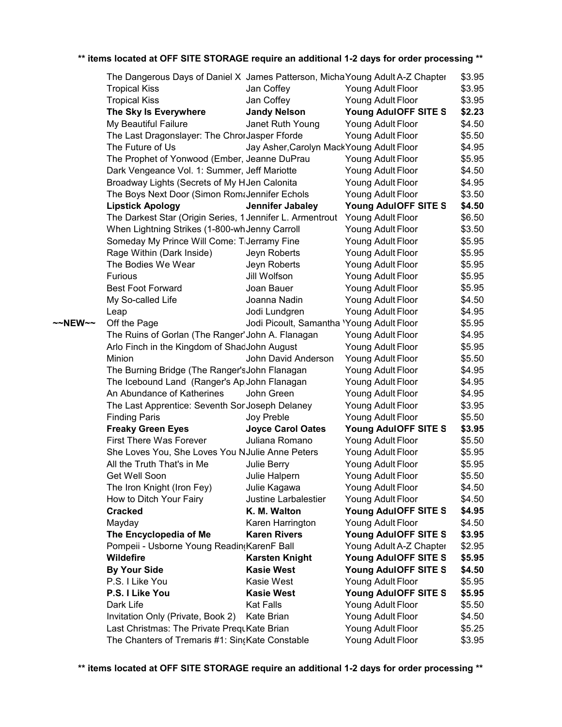|                   | The Dangerous Days of Daniel X James Patterson, Micha Young Adult A-Z Chapter |                                           |                         | \$3.95 |
|-------------------|-------------------------------------------------------------------------------|-------------------------------------------|-------------------------|--------|
|                   | <b>Tropical Kiss</b>                                                          | Jan Coffey                                | Young Adult Floor       | \$3.95 |
|                   | <b>Tropical Kiss</b>                                                          | Jan Coffey                                | Young Adult Floor       | \$3.95 |
|                   | The Sky Is Everywhere                                                         | <b>Jandy Nelson</b>                       | Young AdulOFF SITE S    | \$2.23 |
|                   | My Beautiful Failure                                                          | Janet Ruth Young                          | Young Adult Floor       | \$4.50 |
|                   | The Last Dragonslayer: The ChrorJasper Fforde                                 |                                           | Young Adult Floor       | \$5.50 |
|                   | The Future of Us                                                              | Jay Asher, Carolyn Mack Young Adult Floor |                         | \$4.95 |
|                   | The Prophet of Yonwood (Ember, Jeanne DuPrau                                  |                                           | Young Adult Floor       | \$5.95 |
|                   | Dark Vengeance Vol. 1: Summer, Jeff Mariotte                                  |                                           | Young Adult Floor       | \$4.50 |
|                   | Broadway Lights (Secrets of My HJen Calonita                                  |                                           | Young Adult Floor       | \$4.95 |
|                   | The Boys Next Door (Simon Rom&Jennifer Echols                                 |                                           | Young Adult Floor       | \$3.50 |
|                   | <b>Lipstick Apology</b>                                                       | Jennifer Jabaley                          | Young AdulOFF SITE S    | \$4.50 |
|                   | The Darkest Star (Origin Series, 1 Jennifer L. Armentrout                     |                                           | Young Adult Floor       | \$6.50 |
|                   | When Lightning Strikes (1-800-wh Jenny Carroll                                |                                           | Young Adult Floor       | \$3.50 |
|                   | Someday My Prince Will Come: TiJerramy Fine                                   |                                           | Young Adult Floor       | \$5.95 |
|                   | Rage Within (Dark Inside)                                                     | Jeyn Roberts                              | Young Adult Floor       | \$5.95 |
|                   | The Bodies We Wear                                                            | Jeyn Roberts                              | Young Adult Floor       | \$5.95 |
|                   | <b>Furious</b>                                                                | Jill Wolfson                              | Young Adult Floor       | \$5.95 |
|                   | <b>Best Foot Forward</b>                                                      | Joan Bauer                                | Young Adult Floor       | \$5.95 |
|                   | My So-called Life                                                             | Joanna Nadin                              | Young Adult Floor       | \$4.50 |
|                   | Leap                                                                          | Jodi Lundgren                             | Young Adult Floor       | \$4.95 |
| $\sim$ NEW $\sim$ | Off the Page                                                                  | Jodi Picoult, Samantha 'Young Adult Floor |                         | \$5.95 |
|                   | The Ruins of Gorlan (The Ranger' John A. Flanagan                             |                                           | Young Adult Floor       | \$4.95 |
|                   | Arlo Finch in the Kingdom of ShadJohn August                                  |                                           | Young Adult Floor       | \$5.95 |
|                   | Minion                                                                        | John David Anderson                       | Young Adult Floor       | \$5.50 |
|                   | The Burning Bridge (The Ranger's John Flanagan                                |                                           | Young Adult Floor       | \$4.95 |
|                   | The Icebound Land (Ranger's AppJohn Flanagan                                  |                                           | Young Adult Floor       | \$4.95 |
|                   | An Abundance of Katherines                                                    | John Green                                | Young Adult Floor       | \$4.95 |
|                   | The Last Apprentice: Seventh SorJoseph Delaney                                |                                           | Young Adult Floor       | \$3.95 |
|                   | <b>Finding Paris</b>                                                          | Joy Preble                                | Young Adult Floor       | \$5.50 |
|                   | <b>Freaky Green Eyes</b>                                                      | <b>Joyce Carol Oates</b>                  | Young AdulOFF SITE S    | \$3.95 |
|                   | <b>First There Was Forever</b>                                                | Juliana Romano                            | Young Adult Floor       | \$5.50 |
|                   | She Loves You, She Loves You NJulie Anne Peters                               |                                           | Young Adult Floor       | \$5.95 |
|                   | All the Truth That's in Me                                                    | Julie Berry                               | Young Adult Floor       | \$5.95 |
|                   | Get Well Soon                                                                 | Julie Halpern                             | Young Adult Floor       | \$5.50 |
|                   | The Iron Knight (Iron Fey)                                                    | Julie Kagawa                              | Young Adult Floor       | \$4.50 |
|                   | How to Ditch Your Fairy                                                       | <b>Justine Larbalestier</b>               | Young Adult Floor       | \$4.50 |
|                   | <b>Cracked</b>                                                                | K. M. Walton                              | Young AdulOFF SITE S    | \$4.95 |
|                   | Mayday                                                                        | Karen Harrington                          | Young Adult Floor       | \$4.50 |
|                   | The Encyclopedia of Me                                                        | <b>Karen Rivers</b>                       | Young AdulOFF SITE S    | \$3.95 |
|                   | Pompeii - Usborne Young Readin(KarenF Ball                                    |                                           | Young Adult A-Z Chapter | \$2.95 |
|                   | <b>Wildefire</b>                                                              | <b>Karsten Knight</b>                     | Young AdulOFF SITE S    | \$5.95 |
|                   | <b>By Your Side</b>                                                           | <b>Kasie West</b>                         | Young AdulOFF SITE S    | \$4.50 |
|                   | P.S. I Like You                                                               | Kasie West                                | Young Adult Floor       | \$5.95 |
|                   | P.S. I Like You                                                               | <b>Kasie West</b>                         | Young AdulOFF SITE S    | \$5.95 |
|                   | Dark Life                                                                     | <b>Kat Falls</b>                          | Young Adult Floor       | \$5.50 |
|                   | Invitation Only (Private, Book 2)                                             | Kate Brian                                | Young Adult Floor       | \$4.50 |
|                   | Last Christmas: The Private PrequKate Brian                                   |                                           | Young Adult Floor       | \$5.25 |
|                   | The Chanters of Tremaris #1: Sin(Kate Constable                               |                                           | Young Adult Floor       | \$3.95 |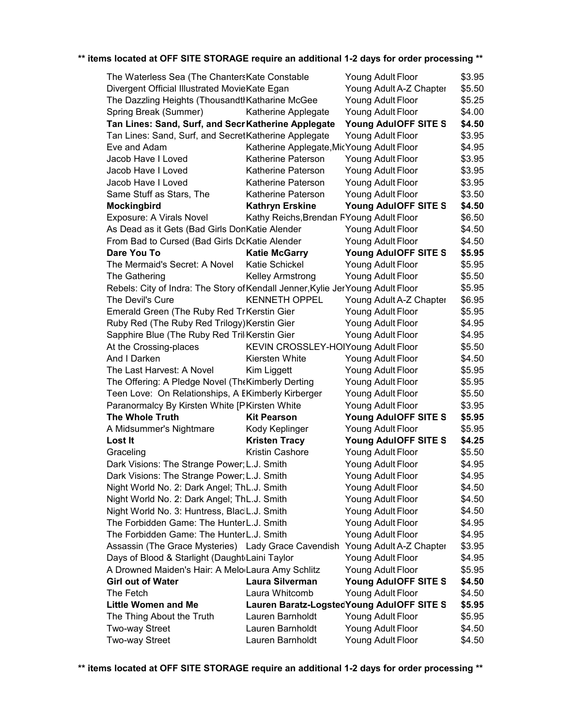| The Waterless Sea (The ChantersKate Constable                                   |                                           | Young Adult Floor                           | \$3.95 |
|---------------------------------------------------------------------------------|-------------------------------------------|---------------------------------------------|--------|
| Divergent Official Illustrated MovieKate Egan                                   |                                           | Young Adult A-Z Chapter                     | \$5.50 |
| The Dazzling Heights (Thousandth Katharine McGee                                |                                           | Young Adult Floor                           | \$5.25 |
| Spring Break (Summer)                                                           | Katherine Applegate                       | Young Adult Floor                           | \$4.00 |
| Tan Lines: Sand, Surf, and Secr Katherine Applegate                             |                                           | Young AdulOFF SITE S                        | \$4.50 |
| Tan Lines: Sand, Surf, and SecretKatherine Applegate                            |                                           | Young Adult Floor                           | \$3.95 |
| Eve and Adam                                                                    | Katherine Applegate, MicYoung Adult Floor |                                             | \$4.95 |
| Jacob Have I Loved                                                              | Katherine Paterson                        | Young Adult Floor                           | \$3.95 |
| Jacob Have I Loved                                                              | Katherine Paterson                        | Young Adult Floor                           | \$3.95 |
| Jacob Have I Loved                                                              | Katherine Paterson                        | Young Adult Floor                           | \$3.95 |
| Same Stuff as Stars, The                                                        | Katherine Paterson                        | Young Adult Floor                           | \$3.50 |
| Mockingbird                                                                     | <b>Kathryn Erskine</b>                    | Young AdulOFF SITE S                        | \$4.50 |
| Exposure: A Virals Novel                                                        | Kathy Reichs, Brendan FYoung Adult Floor  |                                             | \$6.50 |
| As Dead as it Gets (Bad Girls DonKatie Alender                                  |                                           | Young Adult Floor                           | \$4.50 |
| From Bad to Cursed (Bad Girls DcKatie Alender                                   |                                           | Young Adult Floor                           | \$4.50 |
| Dare You To                                                                     | <b>Katie McGarry</b>                      | Young AdulOFF SITE S                        | \$5.95 |
| The Mermaid's Secret: A Novel                                                   | Katie Schickel                            | Young Adult Floor                           | \$5.95 |
| The Gathering                                                                   | <b>Kelley Armstrong</b>                   | Young Adult Floor                           | \$5.50 |
| Rebels: City of Indra: The Story of Kendall Jenner, Kylie Jer Young Adult Floor |                                           |                                             | \$5.95 |
| The Devil's Cure                                                                | <b>KENNETH OPPEL</b>                      | Young Adult A-Z Chapter                     | \$6.95 |
| Emerald Green (The Ruby Red TrKerstin Gier                                      |                                           | Young Adult Floor                           | \$5.95 |
| Ruby Red (The Ruby Red Trilogy) Kerstin Gier                                    |                                           | Young Adult Floor                           | \$4.95 |
| Sapphire Blue (The Ruby Red Tril Kerstin Gier                                   |                                           | Young Adult Floor                           | \$4.95 |
| At the Crossing-places                                                          | KEVIN CROSSLEY-HOIYoung Adult Floor       |                                             | \$5.50 |
| And I Darken                                                                    | Kiersten White                            | Young Adult Floor                           | \$4.50 |
| The Last Harvest: A Novel                                                       | Kim Liggett                               | Young Adult Floor                           | \$5.95 |
| The Offering: A Pledge Novel (The Kimberly Derting                              |                                           | Young Adult Floor                           | \$5.95 |
| Teen Love: On Relationships, A EKimberly Kirberger                              |                                           | Young Adult Floor                           | \$5.50 |
| Paranormalcy By Kirsten White [PKirsten White                                   |                                           | Young Adult Floor                           | \$3.95 |
| <b>The Whole Truth</b>                                                          | <b>Kit Pearson</b>                        | Young AdulOFF SITE S                        | \$5.95 |
| A Midsummer's Nightmare                                                         | Kody Keplinger                            | Young Adult Floor                           | \$5.95 |
| <b>Lost It</b>                                                                  | <b>Kristen Tracy</b>                      | Young AdulOFF SITE S                        | \$4.25 |
|                                                                                 | Kristin Cashore                           |                                             | \$5.50 |
| Graceling                                                                       |                                           | Young Adult Floor                           |        |
| Dark Visions: The Strange Power; L.J. Smith                                     |                                           | Young Adult Floor                           | \$4.95 |
| Dark Visions: The Strange Power; L.J. Smith                                     |                                           | Young Adult Floor                           | \$4.95 |
| Night World No. 2: Dark Angel; ThL.J. Smith                                     |                                           | Young Adult Floor                           | \$4.50 |
| Night World No. 2: Dark Angel; ThL.J. Smith                                     |                                           | Young Adult Floor                           | \$4.50 |
| Night World No. 3: Huntress, BlacIL.J. Smith                                    |                                           | Young Adult Floor                           | \$4.50 |
| The Forbidden Game: The HunterL.J. Smith                                        |                                           | Young Adult Floor                           | \$4.95 |
| The Forbidden Game: The HunterL.J. Smith                                        |                                           | Young Adult Floor                           | \$4.95 |
| Assassin (The Grace Mysteries) Lady Grace Cavendish Young Adult A-Z Chapter     |                                           |                                             | \$3.95 |
| Days of Blood & Starlight (Daught Laini Taylor                                  |                                           | Young Adult Floor                           | \$4.95 |
| A Drowned Maiden's Hair: A Melo Laura Amy Schlitz                               |                                           | Young Adult Floor                           | \$5.95 |
| <b>Girl out of Water</b>                                                        | Laura Silverman                           | Young AdulOFF SITE S                        | \$4.50 |
| The Fetch                                                                       | Laura Whitcomb                            | Young Adult Floor                           | \$4.50 |
| <b>Little Women and Me</b>                                                      |                                           | Lauren Baratz-Logsted Young Adul OFF SITE S | \$5.95 |
| The Thing About the Truth                                                       | Lauren Barnholdt                          | Young Adult Floor                           | \$5.95 |
| Two-way Street                                                                  | Lauren Barnholdt                          | Young Adult Floor                           | \$4.50 |
| Two-way Street                                                                  | Lauren Barnholdt                          | Young Adult Floor                           | \$4.50 |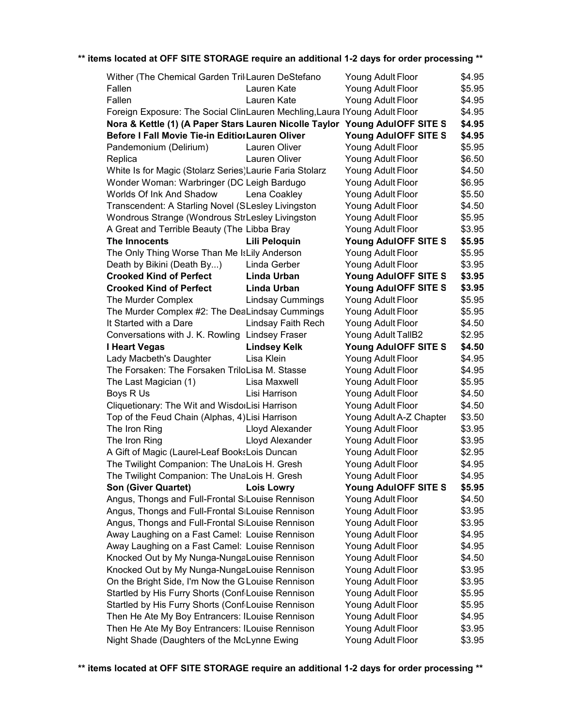| Wither (The Chemical Garden TrillLauren DeStefano                           |                         | Young Adult Floor         | \$4.95 |
|-----------------------------------------------------------------------------|-------------------------|---------------------------|--------|
| Fallen                                                                      | Lauren Kate             | Young Adult Floor         | \$5.95 |
| Fallen                                                                      | Lauren Kate             | Young Adult Floor         | \$4.95 |
| Foreign Exposure: The Social ClinLauren Mechling, Laura IYoung Adult Floor  |                         |                           | \$4.95 |
| Nora & Kettle (1) (A Paper Stars Lauren Nicolle Taylor Young AdulOFF SITE S |                         |                           | \$4.95 |
| Before I Fall Movie Tie-in EditiorLauren Oliver                             |                         | Young AdulOFF SITE S      | \$4.95 |
| Pandemonium (Delirium)                                                      | Lauren Oliver           | Young Adult Floor         | \$5.95 |
| Replica                                                                     | Lauren Oliver           | Young Adult Floor         | \$6.50 |
| White Is for Magic (Stolarz Series)Laurie Faria Stolarz                     |                         | Young Adult Floor         | \$4.50 |
| Wonder Woman: Warbringer (DC Leigh Bardugo                                  |                         | Young Adult Floor         | \$6.95 |
| Worlds Of Ink And Shadow                                                    | Lena Coakley            | Young Adult Floor         | \$5.50 |
| Transcendent: A Starling Novel (SLesley Livingston                          |                         | Young Adult Floor         | \$4.50 |
| Wondrous Strange (Wondrous StrLesley Livingston                             |                         | Young Adult Floor         | \$5.95 |
| A Great and Terrible Beauty (The Libba Bray                                 |                         | Young Adult Floor         | \$3.95 |
| The Innocents                                                               | Lili Peloquin           | Young AdulOFF SITE S      | \$5.95 |
| The Only Thing Worse Than Me IsLily Anderson                                |                         | Young Adult Floor         | \$5.95 |
| Death by Bikini (Death By)                                                  | Linda Gerber            | Young Adult Floor         | \$3.95 |
| <b>Crooked Kind of Perfect</b>                                              | Linda Urban             | Young AdulOFF SITE S      | \$3.95 |
| <b>Crooked Kind of Perfect</b>                                              | Linda Urban             | Young AdulOFF SITE S      | \$3.95 |
| The Murder Complex                                                          | <b>Lindsay Cummings</b> | Young Adult Floor         | \$5.95 |
| The Murder Complex #2: The DeaLindsay Cummings                              |                         | Young Adult Floor         | \$5.95 |
| It Started with a Dare                                                      | Lindsay Faith Rech      | Young Adult Floor         | \$4.50 |
| Conversations with J. K. Rowling Lindsey Fraser                             |                         | <b>Young Adult TallB2</b> | \$2.95 |
| I Heart Vegas                                                               | <b>Lindsey Kelk</b>     | Young AdulOFF SITE S      | \$4.50 |
| Lady Macbeth's Daughter                                                     | Lisa Klein              | Young Adult Floor         | \$4.95 |
| The Forsaken: The Forsaken TriloLisa M. Stasse                              |                         | Young Adult Floor         | \$4.95 |
| The Last Magician (1)                                                       | Lisa Maxwell            | Young Adult Floor         | \$5.95 |
| Boys R Us                                                                   | Lisi Harrison           | Young Adult Floor         | \$4.50 |
| Cliquetionary: The Wit and WisdorLisi Harrison                              |                         | Young Adult Floor         | \$4.50 |
| Top of the Feud Chain (Alphas, 4) Lisi Harrison                             |                         | Young Adult A-Z Chapter   | \$3.50 |
| The Iron Ring                                                               | Lloyd Alexander         | Young Adult Floor         | \$3.95 |
| The Iron Ring                                                               | Lloyd Alexander         | Young Adult Floor         | \$3.95 |
| A Gift of Magic (Laurel-Leaf BooksLois Duncan                               |                         | Young Adult Floor         | \$2.95 |
| The Twilight Companion: The UnaLois H. Gresh                                |                         | Young Adult Floor         | \$4.95 |
| The Twilight Companion: The UnaLois H. Gresh                                |                         | Young Adult Floor         | \$4.95 |
| <b>Son (Giver Quartet)</b>                                                  | <b>Lois Lowry</b>       | Young AdulOFF SITE S      | \$5.95 |
| Angus, Thongs and Full-Frontal SiLouise Rennison                            |                         | Young Adult Floor         | \$4.50 |
| Angus, Thongs and Full-Frontal SiLouise Rennison                            |                         | Young Adult Floor         | \$3.95 |
| Angus, Thongs and Full-Frontal SiLouise Rennison                            |                         | Young Adult Floor         | \$3.95 |
| Away Laughing on a Fast Camel: ILouise Rennison                             |                         | Young Adult Floor         | \$4.95 |
| Away Laughing on a Fast Camel: ILouise Rennison                             |                         | Young Adult Floor         | \$4.95 |
| Knocked Out by My Nunga-NungaLouise Rennison                                |                         | Young Adult Floor         | \$4.50 |
| Knocked Out by My Nunga-NungaLouise Rennison                                |                         | Young Adult Floor         | \$3.95 |
| On the Bright Side, I'm Now the GLouise Rennison                            |                         |                           | \$3.95 |
|                                                                             |                         | Young Adult Floor         | \$5.95 |
| Startled by His Furry Shorts (ConfiLouise Rennison                          |                         | Young Adult Floor         |        |
| Startled by His Furry Shorts (ConfiLouise Rennison                          |                         | Young Adult Floor         | \$5.95 |
| Then He Ate My Boy Entrancers: ILouise Rennison                             |                         | Young Adult Floor         | \$4.95 |
| Then He Ate My Boy Entrancers: ILouise Rennison                             |                         | Young Adult Floor         | \$3.95 |
| Night Shade (Daughters of the MoLynne Ewing                                 |                         | Young Adult Floor         | \$3.95 |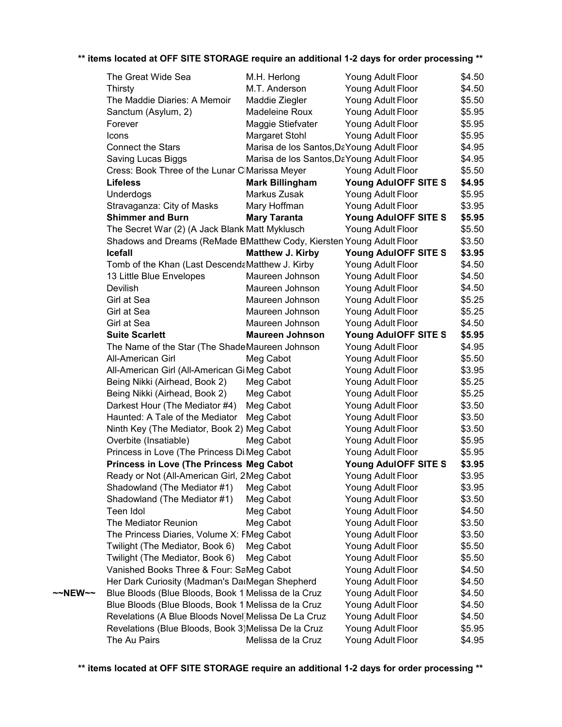|         | The Great Wide Sea                                                   | M.H. Herlong                              | Young Adult Floor    | \$4.50 |
|---------|----------------------------------------------------------------------|-------------------------------------------|----------------------|--------|
|         | <b>Thirsty</b>                                                       | M.T. Anderson                             | Young Adult Floor    | \$4.50 |
|         | The Maddie Diaries: A Memoir                                         | Maddie Ziegler                            | Young Adult Floor    | \$5.50 |
|         | Sanctum (Asylum, 2)                                                  | Madeleine Roux                            | Young Adult Floor    | \$5.95 |
|         | Forever                                                              | Maggie Stiefvater                         | Young Adult Floor    | \$5.95 |
|         | Icons                                                                | <b>Margaret Stohl</b>                     | Young Adult Floor    | \$5.95 |
|         | <b>Connect the Stars</b>                                             | Marisa de los Santos, DaYoung Adult Floor |                      | \$4.95 |
|         | Saving Lucas Biggs                                                   | Marisa de los Santos, DaYoung Adult Floor |                      | \$4.95 |
|         | Cress: Book Three of the Lunar CIMarissa Meyer                       |                                           | Young Adult Floor    | \$5.50 |
|         | <b>Lifeless</b>                                                      | <b>Mark Billingham</b>                    | Young AdulOFF SITE S | \$4.95 |
|         | Underdogs                                                            | Markus Zusak                              | Young Adult Floor    | \$5.95 |
|         | Stravaganza: City of Masks                                           | Mary Hoffman                              | Young Adult Floor    | \$3.95 |
|         | <b>Shimmer and Burn</b>                                              | <b>Mary Taranta</b>                       | Young AdulOFF SITE S | \$5.95 |
|         | The Secret War (2) (A Jack Blank Matt Myklusch                       |                                           | Young Adult Floor    | \$5.50 |
|         | Shadows and Dreams (ReMade BMatthew Cody, Kiersten Young Adult Floor |                                           |                      | \$3.50 |
|         | <b>Icefall</b>                                                       | <b>Matthew J. Kirby</b>                   | Young AdulOFF SITE S | \$3.95 |
|         | Tomb of the Khan (Last DescendaMatthew J. Kirby                      |                                           | Young Adult Floor    | \$4.50 |
|         | 13 Little Blue Envelopes                                             | Maureen Johnson                           | Young Adult Floor    | \$4.50 |
|         | Devilish                                                             | Maureen Johnson                           | Young Adult Floor    | \$4.50 |
|         | Girl at Sea                                                          | Maureen Johnson                           | Young Adult Floor    | \$5.25 |
|         | Girl at Sea                                                          | Maureen Johnson                           | Young Adult Floor    | \$5.25 |
|         | Girl at Sea                                                          | Maureen Johnson                           | Young Adult Floor    | \$4.50 |
|         | <b>Suite Scarlett</b>                                                | <b>Maureen Johnson</b>                    | Young AdulOFF SITE S | \$5.95 |
|         | The Name of the Star (The ShadeMaureen Johnson                       |                                           | Young Adult Floor    | \$4.95 |
|         | All-American Girl                                                    | Meg Cabot                                 | Young Adult Floor    | \$5.50 |
|         | All-American Girl (All-American GiMeg Cabot                          |                                           | Young Adult Floor    | \$3.95 |
|         | Being Nikki (Airhead, Book 2)                                        | Meg Cabot                                 | Young Adult Floor    | \$5.25 |
|         | Being Nikki (Airhead, Book 2)                                        | Meg Cabot                                 | Young Adult Floor    | \$5.25 |
|         | Darkest Hour (The Mediator #4)                                       | Meg Cabot                                 | Young Adult Floor    | \$3.50 |
|         | Haunted: A Tale of the Mediator                                      | Meg Cabot                                 | Young Adult Floor    | \$3.50 |
|         | Ninth Key (The Mediator, Book 2) Meg Cabot                           |                                           | Young Adult Floor    | \$3.50 |
|         | Overbite (Insatiable)                                                | Meg Cabot                                 | Young Adult Floor    | \$5.95 |
|         | Princess in Love (The Princess Di Meg Cabot                          |                                           | Young Adult Floor    | \$5.95 |
|         | <b>Princess in Love (The Princess Meg Cabot</b>                      |                                           | Young AdulOFF SITE S | \$3.95 |
|         | Ready or Not (All-American Girl, 2Meg Cabot                          |                                           | Young Adult Floor    | \$3.95 |
|         | Shadowland (The Mediator #1)                                         | Meg Cabot                                 | Young Adult Floor    | \$3.95 |
|         | Shadowland (The Mediator #1)                                         | Meg Cabot                                 | Young Adult Floor    | \$3.50 |
|         | Teen Idol                                                            | Meg Cabot                                 | Young Adult Floor    | \$4.50 |
|         | The Mediator Reunion                                                 | Meg Cabot                                 | Young Adult Floor    | \$3.50 |
|         | The Princess Diaries, Volume X: FMeg Cabot                           |                                           | Young Adult Floor    | \$3.50 |
|         | Twilight (The Mediator, Book 6)                                      | Meg Cabot                                 | Young Adult Floor    | \$5.50 |
|         | Twilight (The Mediator, Book 6)                                      | Meg Cabot                                 | Young Adult Floor    | \$5.50 |
|         | Vanished Books Three & Four: SaMeg Cabot                             |                                           | Young Adult Floor    | \$4.50 |
|         | Her Dark Curiosity (Madman's DatMegan Shepherd                       |                                           | Young Adult Floor    | \$4.50 |
| ~~NEW~~ | Blue Bloods (Blue Bloods, Book 1 Melissa de la Cruz                  |                                           | Young Adult Floor    | \$4.50 |
|         | Blue Bloods (Blue Bloods, Book 1 Melissa de la Cruz                  |                                           | Young Adult Floor    | \$4.50 |
|         | Revelations (A Blue Bloods Novel) Melissa De La Cruz                 |                                           | Young Adult Floor    | \$4.50 |
|         | Revelations (Blue Bloods, Book 3) Melissa De la Cruz                 |                                           | Young Adult Floor    | \$5.95 |
|         | The Au Pairs                                                         | Melissa de la Cruz                        | Young Adult Floor    | \$4.95 |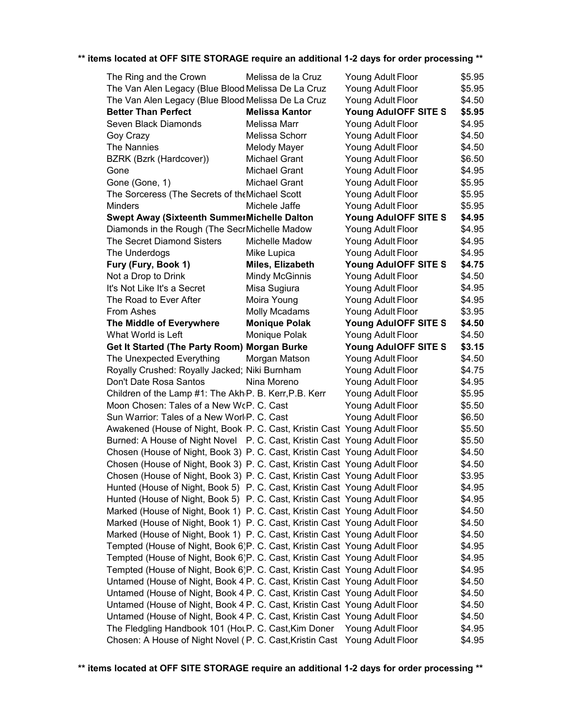| The Ring and the Crown                                                               | Melissa de la Cruz    | Young Adult Floor    | \$5.95 |
|--------------------------------------------------------------------------------------|-----------------------|----------------------|--------|
| The Van Alen Legacy (Blue Blood Melissa De La Cruz                                   |                       | Young Adult Floor    | \$5.95 |
| The Van Alen Legacy (Blue Blood Melissa De La Cruz                                   |                       | Young Adult Floor    | \$4.50 |
| <b>Better Than Perfect</b>                                                           | <b>Melissa Kantor</b> | Young AdulOFF SITE S | \$5.95 |
| Seven Black Diamonds                                                                 | Melissa Marr          | Young Adult Floor    | \$4.95 |
| Goy Crazy                                                                            | Melissa Schorr        | Young Adult Floor    | \$4.50 |
| The Nannies                                                                          | <b>Melody Mayer</b>   | Young Adult Floor    | \$4.50 |
| BZRK (Bzrk (Hardcover))                                                              | Michael Grant         | Young Adult Floor    | \$6.50 |
| Gone                                                                                 | Michael Grant         | Young Adult Floor    | \$4.95 |
| Gone (Gone, 1)                                                                       | Michael Grant         | Young Adult Floor    | \$5.95 |
| The Sorceress (The Secrets of the Michael Scott                                      |                       | Young Adult Floor    | \$5.95 |
| <b>Minders</b>                                                                       | Michele Jaffe         | Young Adult Floor    | \$5.95 |
| Swept Away (Sixteenth SummerMichelle Dalton                                          |                       | Young AdulOFF SITE S | \$4.95 |
| Diamonds in the Rough (The SecrMichelle Madow                                        |                       | Young Adult Floor    | \$4.95 |
| The Secret Diamond Sisters                                                           | Michelle Madow        | Young Adult Floor    | \$4.95 |
| The Underdogs                                                                        | Mike Lupica           | Young Adult Floor    | \$4.95 |
| Fury (Fury, Book 1)                                                                  | Miles, Elizabeth      | Young AdulOFF SITE S | \$4.75 |
| Not a Drop to Drink                                                                  | <b>Mindy McGinnis</b> | Young Adult Floor    | \$4.50 |
| It's Not Like It's a Secret                                                          | Misa Sugiura          | Young Adult Floor    | \$4.95 |
| The Road to Ever After                                                               | Moira Young           | Young Adult Floor    | \$4.95 |
| From Ashes                                                                           | <b>Molly Mcadams</b>  | Young Adult Floor    | \$3.95 |
| The Middle of Everywhere                                                             | <b>Monique Polak</b>  | Young AdulOFF SITE S | \$4.50 |
| What World is Left                                                                   | Monique Polak         | Young Adult Floor    | \$4.50 |
| Get It Started (The Party Room) Morgan Burke                                         |                       | Young AdulOFF SITE S | \$3.15 |
| The Unexpected Everything                                                            | Morgan Matson         | Young Adult Floor    | \$4.50 |
| Royally Crushed: Royally Jacked; Niki Burnham                                        |                       | Young Adult Floor    | \$4.75 |
| Don't Date Rosa Santos                                                               | Nina Moreno           | Young Adult Floor    | \$4.95 |
| Children of the Lamp #1: The Akh <sub>'</sub> P. B. Kerr, P.B. Kerr                  |                       | Young Adult Floor    | \$5.95 |
| Moon Chosen: Tales of a New WcP. C. Cast                                             |                       | Young Adult Floor    | \$5.50 |
| Sun Warrior: Tales of a New Worl P. C. Cast                                          |                       | Young Adult Floor    | \$6.50 |
| Awakened (House of Night, Book <sub>P.</sub> C. Cast, Kristin Cast Young Adult Floor |                       |                      | \$5.50 |
| Burned: A House of Night Novel P. C. Cast, Kristin Cast Young Adult Floor            |                       |                      | \$5.50 |
| Chosen (House of Night, Book 3) P. C. Cast, Kristin Cast Young Adult Floor           |                       |                      | \$4.50 |
| Chosen (House of Night, Book 3) P. C. Cast, Kristin Cast Young Adult Floor           |                       |                      | \$4.50 |
| Chosen (House of Night, Book 3) P. C. Cast, Kristin Cast Young Adult Floor           |                       |                      | \$3.95 |
| Hunted (House of Night, Book 5) P. C. Cast, Kristin Cast Young Adult Floor           |                       |                      | \$4.95 |
| Hunted (House of Night, Book 5) P. C. Cast, Kristin Cast Young Adult Floor           |                       |                      | \$4.95 |
| Marked (House of Night, Book 1) P. C. Cast, Kristin Cast Young Adult Floor           |                       |                      | \$4.50 |
| Marked (House of Night, Book 1) P. C. Cast, Kristin Cast Young Adult Floor           |                       |                      | \$4.50 |
| Marked (House of Night, Book 1) P. C. Cast, Kristin Cast Young Adult Floor           |                       |                      | \$4.50 |
| Tempted (House of Night, Book 6)P. C. Cast, Kristin Cast Young Adult Floor           |                       |                      | \$4.95 |
| Tempted (House of Night, Book 6)P. C. Cast, Kristin Cast Young Adult Floor           |                       |                      | \$4.95 |
| Tempted (House of Night, Book 6)P. C. Cast, Kristin Cast Young Adult Floor           |                       |                      | \$4.95 |
| Untamed (House of Night, Book 4 P. C. Cast, Kristin Cast Young Adult Floor           |                       |                      | \$4.50 |
|                                                                                      |                       |                      |        |
| Untamed (House of Night, Book 4 P. C. Cast, Kristin Cast Young Adult Floor           |                       |                      | \$4.50 |
| Untamed (House of Night, Book 4 P. C. Cast, Kristin Cast Young Adult Floor           |                       |                      | \$4.50 |
| Untamed (House of Night, Book 4 P. C. Cast, Kristin Cast Young Adult Floor           |                       |                      | \$4.50 |
| The Fledgling Handbook 101 (HoLP. C. Cast, Kim Doner                                 |                       | Young Adult Floor    | \$4.95 |
| Chosen: A House of Night Novel (IP. C. Cast, Kristin Cast Young Adult Floor          |                       |                      | \$4.95 |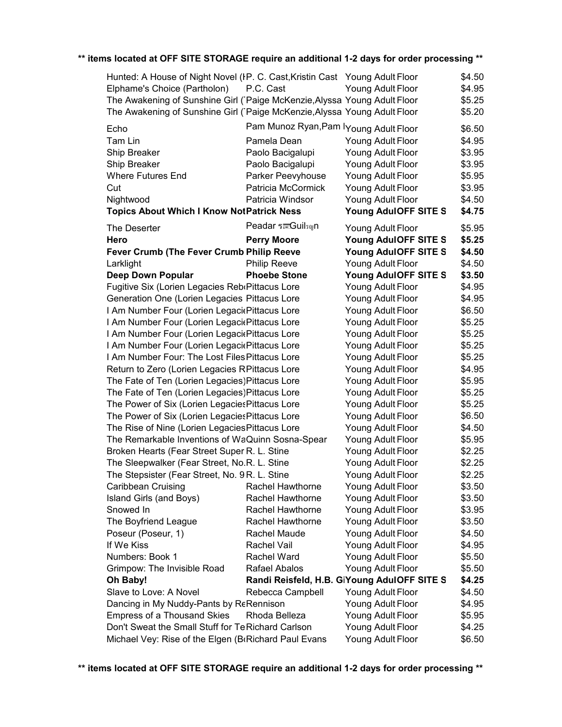| Hunted: A House of Night Novel (IP. C. Cast, Kristin Cast Young Adult Floor |                                             |                                             | \$4.50 |
|-----------------------------------------------------------------------------|---------------------------------------------|---------------------------------------------|--------|
| Elphame's Choice (Partholon)                                                | P.C. Cast                                   | Young Adult Floor                           | \$4.95 |
| The Awakening of Sunshine Girl (Paige McKenzie, Alyssa Young Adult Floor    |                                             |                                             | \$5.25 |
| The Awakening of Sunshine Girl (Paige McKenzie, Alyssa Young Adult Floor    |                                             |                                             | \$5.20 |
| Echo                                                                        | Pam Munoz Ryan, Pam I Young Adult Floor     |                                             | \$6.50 |
| Tam Lin                                                                     | Pamela Dean                                 | Young Adult Floor                           | \$4.95 |
| Ship Breaker                                                                | Paolo Bacigalupi                            | Young Adult Floor                           | \$3.95 |
| Ship Breaker                                                                | Paolo Bacigalupi                            | Young Adult Floor                           | \$3.95 |
| <b>Where Futures End</b>                                                    | Parker Peevyhouse                           | Young Adult Floor                           | \$5.95 |
| Cut                                                                         | Patricia McCormick                          | Young Adult Floor                           | \$3.95 |
| Nightwood                                                                   | Patricia Windsor                            | Young Adult Floor                           | \$4.50 |
| <b>Topics About Which I Know NotPatrick Ness</b>                            |                                             | Young AdulOFF SITE S                        | \$4.75 |
| The Deserter                                                                | Peadar ร <sup>ec</sup> Guil <sub>su</sub> n | Young Adult Floor                           | \$5.95 |
| Hero                                                                        | <b>Perry Moore</b>                          | Young AdulOFF SITE S                        | \$5.25 |
| Fever Crumb (The Fever Crumb Philip Reeve                                   |                                             | Young AdulOFF SITE S                        | \$4.50 |
| Larklight                                                                   | <b>Philip Reeve</b>                         | Young Adult Floor                           | \$4.50 |
| <b>Deep Down Popular</b>                                                    | <b>Phoebe Stone</b>                         | Young AdulOFF SITE S                        | \$3.50 |
| Fugitive Six (Lorien Legacies Reb(Pittacus Lore                             |                                             | Young Adult Floor                           | \$4.95 |
| Generation One (Lorien Legacies Pittacus Lore                               |                                             | Young Adult Floor                           | \$4.95 |
| I Am Number Four (Lorien Legaci Pittacus Lore                               |                                             | Young Adult Floor                           | \$6.50 |
| I Am Number Four (Lorien Legaci elittacus Lore                              |                                             | Young Adult Floor                           | \$5.25 |
| I Am Number Four (Lorien Legaci Pittacus Lore                               |                                             | Young Adult Floor                           | \$5.25 |
| I Am Number Four (Lorien Legaci ePittacus Lore                              |                                             | Young Adult Floor                           | \$5.25 |
| I Am Number Four: The Lost Files Pittacus Lore                              |                                             | Young Adult Floor                           | \$5.25 |
| Return to Zero (Lorien Legacies RPittacus Lore                              |                                             | Young Adult Floor                           | \$4.95 |
| The Fate of Ten (Lorien Legacies) Pittacus Lore                             |                                             | Young Adult Floor                           | \$5.95 |
| The Fate of Ten (Lorien Legacies) Pittacus Lore                             |                                             | Young Adult Floor                           | \$5.25 |
| The Power of Six (Lorien Legacies Pittacus Lore                             |                                             | Young Adult Floor                           | \$5.25 |
| The Power of Six (Lorien Legacies Pittacus Lore                             |                                             | Young Adult Floor                           | \$6.50 |
| The Rise of Nine (Lorien Legacies Pittacus Lore                             |                                             | Young Adult Floor                           | \$4.50 |
| The Remarkable Inventions of WaQuinn Sosna-Spear                            |                                             | Young Adult Floor                           | \$5.95 |
| Broken Hearts (Fear Street Super R. L. Stine                                |                                             | Young Adult Floor                           | \$2.25 |
| The Sleepwalker (Fear Street, No.R. L. Stine                                |                                             | Young Adult Floor                           | \$2.25 |
| The Stepsister (Fear Street, No. 9 R. L. Stine                              |                                             | Young Adult Floor                           | \$2.25 |
| Caribbean Cruising                                                          | Rachel Hawthorne                            | Young Adult Floor                           | \$3.50 |
| Island Girls (and Boys)                                                     | Rachel Hawthorne                            | Young Adult Floor                           | \$3.50 |
| Snowed In                                                                   | Rachel Hawthorne                            | Young Adult Floor                           | \$3.95 |
| The Boyfriend League                                                        | Rachel Hawthorne                            | Young Adult Floor                           | \$3.50 |
| Poseur (Poseur, 1)                                                          | Rachel Maude                                | Young Adult Floor                           | \$4.50 |
| If We Kiss                                                                  | Rachel Vail                                 | Young Adult Floor                           | \$4.95 |
| Numbers: Book 1                                                             | Rachel Ward                                 | Young Adult Floor                           | \$5.50 |
| Grimpow: The Invisible Road                                                 | <b>Rafael Abalos</b>                        | Young Adult Floor                           | \$5.50 |
| Oh Baby!                                                                    |                                             | Randi Reisfeld, H.B. GiYoung AdulOFF SITE S | \$4.25 |
| Slave to Love: A Novel                                                      | Rebecca Campbell                            | Young Adult Floor                           | \$4.50 |
| Dancing in My Nuddy-Pants by ReRennison                                     |                                             | Young Adult Floor                           | \$4.95 |
| <b>Empress of a Thousand Skies</b>                                          | Rhoda Belleza                               | Young Adult Floor                           | \$5.95 |
| Don't Sweat the Small Stuff for Te Richard Carlson                          |                                             | Young Adult Floor                           | \$4.25 |
| Michael Vey: Rise of the Elgen (BrRichard Paul Evans                        |                                             | Young Adult Floor                           | \$6.50 |
|                                                                             |                                             |                                             |        |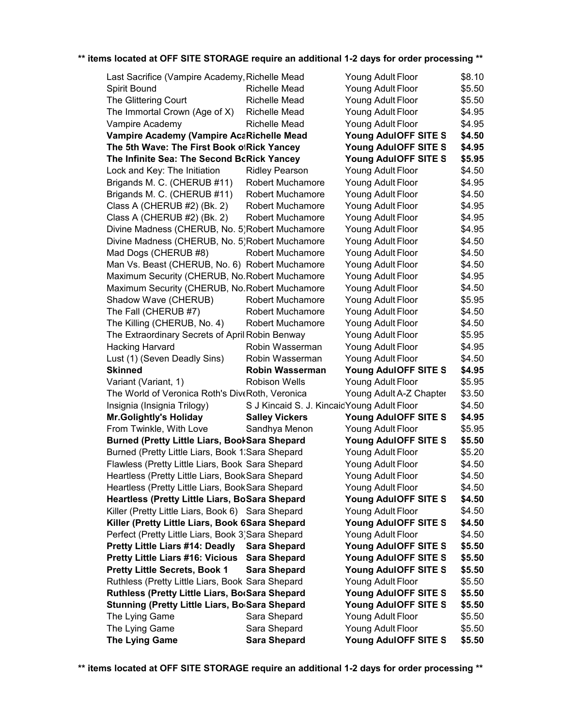| Last Sacrifice (Vampire Academy, Richelle Mead              |                                             | Young Adult Floor                            | \$8.10 |
|-------------------------------------------------------------|---------------------------------------------|----------------------------------------------|--------|
| Spirit Bound                                                | <b>Richelle Mead</b>                        | Young Adult Floor                            | \$5.50 |
| The Glittering Court                                        | Richelle Mead                               | Young Adult Floor                            | \$5.50 |
| The Immortal Crown (Age of X)                               | Richelle Mead                               | Young Adult Floor                            | \$4.95 |
| Vampire Academy                                             | Richelle Mead                               | Young Adult Floor                            | \$4.95 |
| Vampire Academy (Vampire AcaRichelle Mead                   |                                             | Young AdulOFF SITE S                         | \$4.50 |
| The 5th Wave: The First Book ofRick Yancey                  |                                             | Young AdulOFF SITE S                         | \$4.95 |
| The Infinite Sea: The Second BcRick Yancey                  |                                             | Young AdulOFF SITE S                         | \$5.95 |
| Lock and Key: The Initiation                                | <b>Ridley Pearson</b>                       | Young Adult Floor                            | \$4.50 |
| Brigands M. C. (CHERUB #11)                                 | Robert Muchamore                            | Young Adult Floor                            | \$4.95 |
| Brigands M. C. (CHERUB #11)                                 | <b>Robert Muchamore</b>                     | Young Adult Floor                            | \$4.50 |
| Class A (CHERUB #2) (Bk. 2)                                 | <b>Robert Muchamore</b>                     | Young Adult Floor                            | \$4.95 |
| Class A (CHERUB #2) (Bk. 2)                                 | <b>Robert Muchamore</b>                     | Young Adult Floor                            | \$4.95 |
| Divine Madness (CHERUB, No. 5)Robert Muchamore              |                                             | Young Adult Floor                            | \$4.95 |
| Divine Madness (CHERUB, No. 5) Robert Muchamore             |                                             | Young Adult Floor                            | \$4.50 |
| Mad Dogs (CHERUB #8)                                        | <b>Robert Muchamore</b>                     | Young Adult Floor                            | \$4.50 |
| Man Vs. Beast (CHERUB, No. 6) Robert Muchamore              |                                             | Young Adult Floor                            | \$4.50 |
| Maximum Security (CHERUB, No. Robert Muchamore              |                                             | Young Adult Floor                            | \$4.95 |
| Maximum Security (CHERUB, No. Robert Muchamore              |                                             | Young Adult Floor                            | \$4.50 |
| Shadow Wave (CHERUB)                                        | <b>Robert Muchamore</b>                     | Young Adult Floor                            | \$5.95 |
| The Fall (CHERUB #7)                                        | <b>Robert Muchamore</b>                     | Young Adult Floor                            | \$4.50 |
| The Killing (CHERUB, No. 4)                                 | Robert Muchamore                            | Young Adult Floor                            | \$4.50 |
| The Extraordinary Secrets of April Robin Benway             |                                             | Young Adult Floor                            | \$5.95 |
| <b>Hacking Harvard</b>                                      | Robin Wasserman                             | Young Adult Floor                            | \$4.95 |
| Lust (1) (Seven Deadly Sins)                                | Robin Wasserman                             | Young Adult Floor                            | \$4.50 |
| <b>Skinned</b>                                              | <b>Robin Wasserman</b>                      | Young AdulOFF SITE S                         | \$4.95 |
| Variant (Variant, 1)                                        | <b>Robison Wells</b>                        | Young Adult Floor                            | \$5.95 |
| The World of Veronica Roth's DiveRoth, Veronica             |                                             | Young Adult A-Z Chapter                      | \$3.50 |
| Insignia (Insignia Trilogy)                                 | S J Kincaid S. J. Kincaid Young Adult Floor |                                              | \$4.50 |
| <b>Mr.Golightly's Holiday</b>                               | <b>Salley Vickers</b>                       | Young AdulOFF SITE S                         | \$4.95 |
| From Twinkle, With Love                                     | Sandhya Menon                               | Young Adult Floor                            | \$5.95 |
| <b>Burned (Pretty Little Liars, BookSara Shepard</b>        |                                             | Young AdulOFF SITE S                         | \$5.50 |
| Burned (Pretty Little Liars, Book 1:Sara Shepard            |                                             | Young Adult Floor                            | \$5.20 |
| Flawless (Pretty Little Liars, Book Sara Shepard            |                                             | Young Adult Floor                            | \$4.50 |
| Heartless (Pretty Little Liars, BookSara Shepard            |                                             | Young Adult Floor                            | \$4.50 |
| Heartless (Pretty Little Liars, BookSara Shepard            |                                             | Young Adult Floor                            | \$4.50 |
| Heartless (Pretty Little Liars, BoSara Shepard              |                                             | Young AdulOFF SITE S                         | \$4.50 |
| Killer (Pretty Little Liars, Book 6) Sara Shepard           |                                             | Young Adult Floor                            | \$4.50 |
| Killer (Pretty Little Liars, Book 6Sara Shepard             |                                             | Young AdulOFF SITE S                         | \$4.50 |
| Perfect (Pretty Little Liars, Book 3) Sara Shepard          |                                             | Young Adult Floor                            | \$4.50 |
| <b>Pretty Little Liars #14: Deadly</b>                      | <b>Sara Shepard</b>                         | Young AdulOFF SITE S                         | \$5.50 |
| <b>Pretty Little Liars #16: Vicious</b>                     | <b>Sara Shepard</b>                         | Young AdulOFF SITE S                         | \$5.50 |
| <b>Pretty Little Secrets, Book 1</b>                        | <b>Sara Shepard</b>                         | Young AdulOFF SITE S                         | \$5.50 |
| Ruthless (Pretty Little Liars, Book Sara Shepard            |                                             | Young Adult Floor                            | \$5.50 |
| Ruthless (Pretty Little Liars, BorSara Shepard              |                                             |                                              | \$5.50 |
| Stunning (Pretty Little Liars, Bo <sub>'</sub> Sara Shepard |                                             | Young AdulOFF SITE S<br>Young AdulOFF SITE S | \$5.50 |
| The Lying Game                                              | Sara Shepard                                | Young Adult Floor                            | \$5.50 |
| The Lying Game                                              | Sara Shepard                                | Young Adult Floor                            | \$5.50 |
| <b>The Lying Game</b>                                       | <b>Sara Shepard</b>                         | Young AdulOFF SITE S                         | \$5.50 |
|                                                             |                                             |                                              |        |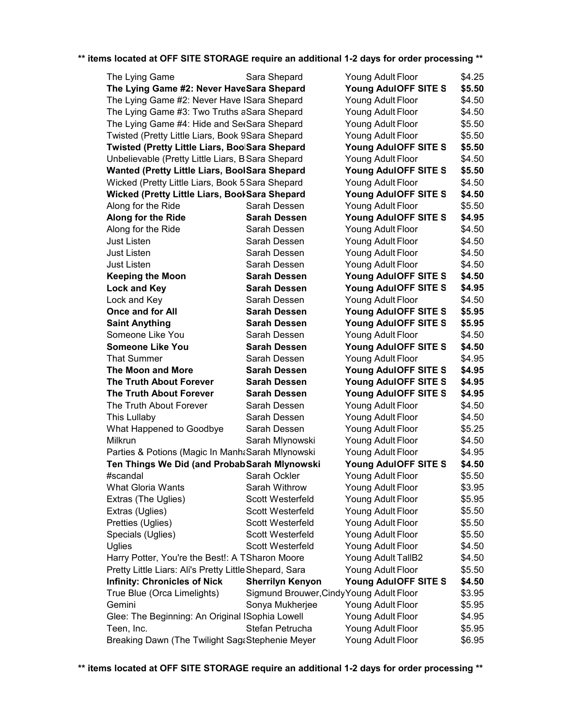| Sara Shepard<br>\$4.25<br>The Lying Game<br>Young Adult Floor<br>The Lying Game #2: Never HaveSara Shepard<br>Young AdulOFF SITE S<br>\$5.50<br>The Lying Game #2: Never Have ISara Shepard<br>\$4.50<br>Young Adult Floor<br>The Lying Game #3: Two Truths aSara Shepard<br>\$4.50<br>Young Adult Floor<br>The Lying Game #4: Hide and SetSara Shepard<br>\$5.50<br>Young Adult Floor<br>Twisted (Pretty Little Liars, Book 9Sara Shepard<br>Young Adult Floor<br>\$5.50<br>Twisted (Pretty Little Liars, BoolSara Shepard<br>Young AdulOFF SITE S<br>\$5.50<br>\$4.50<br>Unbelievable (Pretty Little Liars, B Sara Shepard<br>Young Adult Floor<br>Wanted (Pretty Little Liars, BoolSara Shepard<br>Young AdulOFF SITE S<br>\$5.50<br>Wicked (Pretty Little Liars, Book 5 Sara Shepard<br>\$4.50<br>Young Adult Floor<br>Wicked (Pretty Little Liars, BoolSara Shepard<br>Young AdulOFF SITE S<br>\$4.50<br>Along for the Ride<br>Sarah Dessen<br>Young Adult Floor<br>\$5.50<br>Along for the Ride<br>Young AdulOFF SITE S<br><b>Sarah Dessen</b><br>\$4.95<br>Young Adult Floor<br>\$4.50<br>Along for the Ride<br>Sarah Dessen<br>Sarah Dessen<br>\$4.50<br>Just Listen<br>Young Adult Floor<br><b>Just Listen</b><br>Sarah Dessen<br>\$4.50<br>Young Adult Floor<br>\$4.50<br>Just Listen<br>Sarah Dessen<br>Young Adult Floor<br>\$4.50<br><b>Keeping the Moon</b><br><b>Sarah Dessen</b><br>Young AdulOFF SITE S<br>Young AdulOFF SITE S<br>\$4.95<br>Lock and Key<br><b>Sarah Dessen</b><br>Young Adult Floor<br>\$4.50<br>Lock and Key<br>Sarah Dessen<br><b>Once and for All</b><br>\$5.95<br>Sarah Dessen<br>Young AdulOFF SITE S<br><b>Saint Anything</b><br><b>Sarah Dessen</b><br>Young AdulOFF SITE S<br>\$5.95<br>Someone Like You<br>Young Adult Floor<br>\$4.50<br>Sarah Dessen<br>\$4.50<br><b>Someone Like You</b><br><b>Sarah Dessen</b><br>Young AdulOFF SITE S<br>\$4.95<br><b>That Summer</b><br>Young Adult Floor<br>Sarah Dessen<br>Young AdulOFF SITE S<br>\$4.95<br>The Moon and More<br>Sarah Dessen<br><b>The Truth About Forever</b><br>Young AdulOFF SITE S<br>Sarah Dessen<br>\$4.95<br><b>The Truth About Forever</b><br>Young AdulOFF SITE S<br>\$4.95<br>Sarah Dessen<br>The Truth About Forever<br>Sarah Dessen<br>Young Adult Floor<br>\$4.50<br>This Lullaby<br>Sarah Dessen<br>Young Adult Floor<br>\$4.50<br>What Happened to Goodbye<br>Sarah Dessen<br>Young Adult Floor<br>\$5.25<br>\$4.50<br>Milkrun<br>Sarah Mlynowski<br>Young Adult Floor<br>Parties & Potions (Magic In Manh & Sarah Mlynowski<br>Young Adult Floor<br>\$4.95<br>Ten Things We Did (and Probab Sarah Mlynowski<br>Young AdulOFF SITE S<br>\$4.50<br>Sarah Ockler<br>Young Adult Floor<br>\$5.50<br>#scandal<br><b>What Gloria Wants</b><br>Sarah Withrow<br>\$3.95<br>Young Adult Floor<br>Extras (The Uglies)<br><b>Scott Westerfeld</b><br>Young Adult Floor<br>\$5.95<br>Extras (Uglies)<br>Young Adult Floor<br>Scott Westerfeld<br>\$5.50<br>Pretties (Uglies)<br><b>Scott Westerfeld</b><br>Young Adult Floor<br>\$5.50<br>Young Adult Floor<br>Specials (Uglies)<br><b>Scott Westerfeld</b><br>\$5.50<br>Young Adult Floor<br>Uglies<br><b>Scott Westerfeld</b><br>\$4.50<br>Young Adult TallB2<br>Harry Potter, You're the Best!: A TSharon Moore<br>\$4.50<br>Pretty Little Liars: Ali's Pretty Little Shepard, Sara<br>Young Adult Floor<br>\$5.50<br><b>Infinity: Chronicles of Nick</b><br><b>Sherrilyn Kenyon</b><br>Young AdulOFF SITE S<br>\$4.50<br>True Blue (Orca Limelights)<br>Sigmund Brouwer, Cindy Young Adult Floor<br>\$3.95<br>Gemini<br>Young Adult Floor<br>Sonya Mukherjee<br>\$5.95<br>Glee: The Beginning: An Original ISophia Lowell<br>Young Adult Floor<br>\$4.95<br>Teen, Inc.<br>Stefan Petrucha<br>Young Adult Floor<br>\$5.95<br>Breaking Dawn (The Twilight Sag&Stephenie Meyer<br>Young Adult Floor<br>\$6.95 |  |  |
|--------------------------------------------------------------------------------------------------------------------------------------------------------------------------------------------------------------------------------------------------------------------------------------------------------------------------------------------------------------------------------------------------------------------------------------------------------------------------------------------------------------------------------------------------------------------------------------------------------------------------------------------------------------------------------------------------------------------------------------------------------------------------------------------------------------------------------------------------------------------------------------------------------------------------------------------------------------------------------------------------------------------------------------------------------------------------------------------------------------------------------------------------------------------------------------------------------------------------------------------------------------------------------------------------------------------------------------------------------------------------------------------------------------------------------------------------------------------------------------------------------------------------------------------------------------------------------------------------------------------------------------------------------------------------------------------------------------------------------------------------------------------------------------------------------------------------------------------------------------------------------------------------------------------------------------------------------------------------------------------------------------------------------------------------------------------------------------------------------------------------------------------------------------------------------------------------------------------------------------------------------------------------------------------------------------------------------------------------------------------------------------------------------------------------------------------------------------------------------------------------------------------------------------------------------------------------------------------------------------------------------------------------------------------------------------------------------------------------------------------------------------------------------------------------------------------------------------------------------------------------------------------------------------------------------------------------------------------------------------------------------------------------------------------------------------------------------------------------------------------------------------------------------------------------------------------------------------------------------------------------------------------------------------------------------------------------------------------------------------------------------------------------------------------------------------------------------------------------------------------------------------------------------------------------------------------------------------------------------------------------------------------------------------------------------------------------------------------------------------------------------------------------------------------------------------------------------------------------------------------------|--|--|
|                                                                                                                                                                                                                                                                                                                                                                                                                                                                                                                                                                                                                                                                                                                                                                                                                                                                                                                                                                                                                                                                                                                                                                                                                                                                                                                                                                                                                                                                                                                                                                                                                                                                                                                                                                                                                                                                                                                                                                                                                                                                                                                                                                                                                                                                                                                                                                                                                                                                                                                                                                                                                                                                                                                                                                                                                                                                                                                                                                                                                                                                                                                                                                                                                                                                                                                                                                                                                                                                                                                                                                                                                                                                                                                                                                                                                                                                          |  |  |
|                                                                                                                                                                                                                                                                                                                                                                                                                                                                                                                                                                                                                                                                                                                                                                                                                                                                                                                                                                                                                                                                                                                                                                                                                                                                                                                                                                                                                                                                                                                                                                                                                                                                                                                                                                                                                                                                                                                                                                                                                                                                                                                                                                                                                                                                                                                                                                                                                                                                                                                                                                                                                                                                                                                                                                                                                                                                                                                                                                                                                                                                                                                                                                                                                                                                                                                                                                                                                                                                                                                                                                                                                                                                                                                                                                                                                                                                          |  |  |
|                                                                                                                                                                                                                                                                                                                                                                                                                                                                                                                                                                                                                                                                                                                                                                                                                                                                                                                                                                                                                                                                                                                                                                                                                                                                                                                                                                                                                                                                                                                                                                                                                                                                                                                                                                                                                                                                                                                                                                                                                                                                                                                                                                                                                                                                                                                                                                                                                                                                                                                                                                                                                                                                                                                                                                                                                                                                                                                                                                                                                                                                                                                                                                                                                                                                                                                                                                                                                                                                                                                                                                                                                                                                                                                                                                                                                                                                          |  |  |
|                                                                                                                                                                                                                                                                                                                                                                                                                                                                                                                                                                                                                                                                                                                                                                                                                                                                                                                                                                                                                                                                                                                                                                                                                                                                                                                                                                                                                                                                                                                                                                                                                                                                                                                                                                                                                                                                                                                                                                                                                                                                                                                                                                                                                                                                                                                                                                                                                                                                                                                                                                                                                                                                                                                                                                                                                                                                                                                                                                                                                                                                                                                                                                                                                                                                                                                                                                                                                                                                                                                                                                                                                                                                                                                                                                                                                                                                          |  |  |
|                                                                                                                                                                                                                                                                                                                                                                                                                                                                                                                                                                                                                                                                                                                                                                                                                                                                                                                                                                                                                                                                                                                                                                                                                                                                                                                                                                                                                                                                                                                                                                                                                                                                                                                                                                                                                                                                                                                                                                                                                                                                                                                                                                                                                                                                                                                                                                                                                                                                                                                                                                                                                                                                                                                                                                                                                                                                                                                                                                                                                                                                                                                                                                                                                                                                                                                                                                                                                                                                                                                                                                                                                                                                                                                                                                                                                                                                          |  |  |
|                                                                                                                                                                                                                                                                                                                                                                                                                                                                                                                                                                                                                                                                                                                                                                                                                                                                                                                                                                                                                                                                                                                                                                                                                                                                                                                                                                                                                                                                                                                                                                                                                                                                                                                                                                                                                                                                                                                                                                                                                                                                                                                                                                                                                                                                                                                                                                                                                                                                                                                                                                                                                                                                                                                                                                                                                                                                                                                                                                                                                                                                                                                                                                                                                                                                                                                                                                                                                                                                                                                                                                                                                                                                                                                                                                                                                                                                          |  |  |
|                                                                                                                                                                                                                                                                                                                                                                                                                                                                                                                                                                                                                                                                                                                                                                                                                                                                                                                                                                                                                                                                                                                                                                                                                                                                                                                                                                                                                                                                                                                                                                                                                                                                                                                                                                                                                                                                                                                                                                                                                                                                                                                                                                                                                                                                                                                                                                                                                                                                                                                                                                                                                                                                                                                                                                                                                                                                                                                                                                                                                                                                                                                                                                                                                                                                                                                                                                                                                                                                                                                                                                                                                                                                                                                                                                                                                                                                          |  |  |
|                                                                                                                                                                                                                                                                                                                                                                                                                                                                                                                                                                                                                                                                                                                                                                                                                                                                                                                                                                                                                                                                                                                                                                                                                                                                                                                                                                                                                                                                                                                                                                                                                                                                                                                                                                                                                                                                                                                                                                                                                                                                                                                                                                                                                                                                                                                                                                                                                                                                                                                                                                                                                                                                                                                                                                                                                                                                                                                                                                                                                                                                                                                                                                                                                                                                                                                                                                                                                                                                                                                                                                                                                                                                                                                                                                                                                                                                          |  |  |
|                                                                                                                                                                                                                                                                                                                                                                                                                                                                                                                                                                                                                                                                                                                                                                                                                                                                                                                                                                                                                                                                                                                                                                                                                                                                                                                                                                                                                                                                                                                                                                                                                                                                                                                                                                                                                                                                                                                                                                                                                                                                                                                                                                                                                                                                                                                                                                                                                                                                                                                                                                                                                                                                                                                                                                                                                                                                                                                                                                                                                                                                                                                                                                                                                                                                                                                                                                                                                                                                                                                                                                                                                                                                                                                                                                                                                                                                          |  |  |
|                                                                                                                                                                                                                                                                                                                                                                                                                                                                                                                                                                                                                                                                                                                                                                                                                                                                                                                                                                                                                                                                                                                                                                                                                                                                                                                                                                                                                                                                                                                                                                                                                                                                                                                                                                                                                                                                                                                                                                                                                                                                                                                                                                                                                                                                                                                                                                                                                                                                                                                                                                                                                                                                                                                                                                                                                                                                                                                                                                                                                                                                                                                                                                                                                                                                                                                                                                                                                                                                                                                                                                                                                                                                                                                                                                                                                                                                          |  |  |
|                                                                                                                                                                                                                                                                                                                                                                                                                                                                                                                                                                                                                                                                                                                                                                                                                                                                                                                                                                                                                                                                                                                                                                                                                                                                                                                                                                                                                                                                                                                                                                                                                                                                                                                                                                                                                                                                                                                                                                                                                                                                                                                                                                                                                                                                                                                                                                                                                                                                                                                                                                                                                                                                                                                                                                                                                                                                                                                                                                                                                                                                                                                                                                                                                                                                                                                                                                                                                                                                                                                                                                                                                                                                                                                                                                                                                                                                          |  |  |
|                                                                                                                                                                                                                                                                                                                                                                                                                                                                                                                                                                                                                                                                                                                                                                                                                                                                                                                                                                                                                                                                                                                                                                                                                                                                                                                                                                                                                                                                                                                                                                                                                                                                                                                                                                                                                                                                                                                                                                                                                                                                                                                                                                                                                                                                                                                                                                                                                                                                                                                                                                                                                                                                                                                                                                                                                                                                                                                                                                                                                                                                                                                                                                                                                                                                                                                                                                                                                                                                                                                                                                                                                                                                                                                                                                                                                                                                          |  |  |
|                                                                                                                                                                                                                                                                                                                                                                                                                                                                                                                                                                                                                                                                                                                                                                                                                                                                                                                                                                                                                                                                                                                                                                                                                                                                                                                                                                                                                                                                                                                                                                                                                                                                                                                                                                                                                                                                                                                                                                                                                                                                                                                                                                                                                                                                                                                                                                                                                                                                                                                                                                                                                                                                                                                                                                                                                                                                                                                                                                                                                                                                                                                                                                                                                                                                                                                                                                                                                                                                                                                                                                                                                                                                                                                                                                                                                                                                          |  |  |
|                                                                                                                                                                                                                                                                                                                                                                                                                                                                                                                                                                                                                                                                                                                                                                                                                                                                                                                                                                                                                                                                                                                                                                                                                                                                                                                                                                                                                                                                                                                                                                                                                                                                                                                                                                                                                                                                                                                                                                                                                                                                                                                                                                                                                                                                                                                                                                                                                                                                                                                                                                                                                                                                                                                                                                                                                                                                                                                                                                                                                                                                                                                                                                                                                                                                                                                                                                                                                                                                                                                                                                                                                                                                                                                                                                                                                                                                          |  |  |
|                                                                                                                                                                                                                                                                                                                                                                                                                                                                                                                                                                                                                                                                                                                                                                                                                                                                                                                                                                                                                                                                                                                                                                                                                                                                                                                                                                                                                                                                                                                                                                                                                                                                                                                                                                                                                                                                                                                                                                                                                                                                                                                                                                                                                                                                                                                                                                                                                                                                                                                                                                                                                                                                                                                                                                                                                                                                                                                                                                                                                                                                                                                                                                                                                                                                                                                                                                                                                                                                                                                                                                                                                                                                                                                                                                                                                                                                          |  |  |
|                                                                                                                                                                                                                                                                                                                                                                                                                                                                                                                                                                                                                                                                                                                                                                                                                                                                                                                                                                                                                                                                                                                                                                                                                                                                                                                                                                                                                                                                                                                                                                                                                                                                                                                                                                                                                                                                                                                                                                                                                                                                                                                                                                                                                                                                                                                                                                                                                                                                                                                                                                                                                                                                                                                                                                                                                                                                                                                                                                                                                                                                                                                                                                                                                                                                                                                                                                                                                                                                                                                                                                                                                                                                                                                                                                                                                                                                          |  |  |
|                                                                                                                                                                                                                                                                                                                                                                                                                                                                                                                                                                                                                                                                                                                                                                                                                                                                                                                                                                                                                                                                                                                                                                                                                                                                                                                                                                                                                                                                                                                                                                                                                                                                                                                                                                                                                                                                                                                                                                                                                                                                                                                                                                                                                                                                                                                                                                                                                                                                                                                                                                                                                                                                                                                                                                                                                                                                                                                                                                                                                                                                                                                                                                                                                                                                                                                                                                                                                                                                                                                                                                                                                                                                                                                                                                                                                                                                          |  |  |
|                                                                                                                                                                                                                                                                                                                                                                                                                                                                                                                                                                                                                                                                                                                                                                                                                                                                                                                                                                                                                                                                                                                                                                                                                                                                                                                                                                                                                                                                                                                                                                                                                                                                                                                                                                                                                                                                                                                                                                                                                                                                                                                                                                                                                                                                                                                                                                                                                                                                                                                                                                                                                                                                                                                                                                                                                                                                                                                                                                                                                                                                                                                                                                                                                                                                                                                                                                                                                                                                                                                                                                                                                                                                                                                                                                                                                                                                          |  |  |
|                                                                                                                                                                                                                                                                                                                                                                                                                                                                                                                                                                                                                                                                                                                                                                                                                                                                                                                                                                                                                                                                                                                                                                                                                                                                                                                                                                                                                                                                                                                                                                                                                                                                                                                                                                                                                                                                                                                                                                                                                                                                                                                                                                                                                                                                                                                                                                                                                                                                                                                                                                                                                                                                                                                                                                                                                                                                                                                                                                                                                                                                                                                                                                                                                                                                                                                                                                                                                                                                                                                                                                                                                                                                                                                                                                                                                                                                          |  |  |
|                                                                                                                                                                                                                                                                                                                                                                                                                                                                                                                                                                                                                                                                                                                                                                                                                                                                                                                                                                                                                                                                                                                                                                                                                                                                                                                                                                                                                                                                                                                                                                                                                                                                                                                                                                                                                                                                                                                                                                                                                                                                                                                                                                                                                                                                                                                                                                                                                                                                                                                                                                                                                                                                                                                                                                                                                                                                                                                                                                                                                                                                                                                                                                                                                                                                                                                                                                                                                                                                                                                                                                                                                                                                                                                                                                                                                                                                          |  |  |
|                                                                                                                                                                                                                                                                                                                                                                                                                                                                                                                                                                                                                                                                                                                                                                                                                                                                                                                                                                                                                                                                                                                                                                                                                                                                                                                                                                                                                                                                                                                                                                                                                                                                                                                                                                                                                                                                                                                                                                                                                                                                                                                                                                                                                                                                                                                                                                                                                                                                                                                                                                                                                                                                                                                                                                                                                                                                                                                                                                                                                                                                                                                                                                                                                                                                                                                                                                                                                                                                                                                                                                                                                                                                                                                                                                                                                                                                          |  |  |
|                                                                                                                                                                                                                                                                                                                                                                                                                                                                                                                                                                                                                                                                                                                                                                                                                                                                                                                                                                                                                                                                                                                                                                                                                                                                                                                                                                                                                                                                                                                                                                                                                                                                                                                                                                                                                                                                                                                                                                                                                                                                                                                                                                                                                                                                                                                                                                                                                                                                                                                                                                                                                                                                                                                                                                                                                                                                                                                                                                                                                                                                                                                                                                                                                                                                                                                                                                                                                                                                                                                                                                                                                                                                                                                                                                                                                                                                          |  |  |
|                                                                                                                                                                                                                                                                                                                                                                                                                                                                                                                                                                                                                                                                                                                                                                                                                                                                                                                                                                                                                                                                                                                                                                                                                                                                                                                                                                                                                                                                                                                                                                                                                                                                                                                                                                                                                                                                                                                                                                                                                                                                                                                                                                                                                                                                                                                                                                                                                                                                                                                                                                                                                                                                                                                                                                                                                                                                                                                                                                                                                                                                                                                                                                                                                                                                                                                                                                                                                                                                                                                                                                                                                                                                                                                                                                                                                                                                          |  |  |
|                                                                                                                                                                                                                                                                                                                                                                                                                                                                                                                                                                                                                                                                                                                                                                                                                                                                                                                                                                                                                                                                                                                                                                                                                                                                                                                                                                                                                                                                                                                                                                                                                                                                                                                                                                                                                                                                                                                                                                                                                                                                                                                                                                                                                                                                                                                                                                                                                                                                                                                                                                                                                                                                                                                                                                                                                                                                                                                                                                                                                                                                                                                                                                                                                                                                                                                                                                                                                                                                                                                                                                                                                                                                                                                                                                                                                                                                          |  |  |
|                                                                                                                                                                                                                                                                                                                                                                                                                                                                                                                                                                                                                                                                                                                                                                                                                                                                                                                                                                                                                                                                                                                                                                                                                                                                                                                                                                                                                                                                                                                                                                                                                                                                                                                                                                                                                                                                                                                                                                                                                                                                                                                                                                                                                                                                                                                                                                                                                                                                                                                                                                                                                                                                                                                                                                                                                                                                                                                                                                                                                                                                                                                                                                                                                                                                                                                                                                                                                                                                                                                                                                                                                                                                                                                                                                                                                                                                          |  |  |
|                                                                                                                                                                                                                                                                                                                                                                                                                                                                                                                                                                                                                                                                                                                                                                                                                                                                                                                                                                                                                                                                                                                                                                                                                                                                                                                                                                                                                                                                                                                                                                                                                                                                                                                                                                                                                                                                                                                                                                                                                                                                                                                                                                                                                                                                                                                                                                                                                                                                                                                                                                                                                                                                                                                                                                                                                                                                                                                                                                                                                                                                                                                                                                                                                                                                                                                                                                                                                                                                                                                                                                                                                                                                                                                                                                                                                                                                          |  |  |
|                                                                                                                                                                                                                                                                                                                                                                                                                                                                                                                                                                                                                                                                                                                                                                                                                                                                                                                                                                                                                                                                                                                                                                                                                                                                                                                                                                                                                                                                                                                                                                                                                                                                                                                                                                                                                                                                                                                                                                                                                                                                                                                                                                                                                                                                                                                                                                                                                                                                                                                                                                                                                                                                                                                                                                                                                                                                                                                                                                                                                                                                                                                                                                                                                                                                                                                                                                                                                                                                                                                                                                                                                                                                                                                                                                                                                                                                          |  |  |
|                                                                                                                                                                                                                                                                                                                                                                                                                                                                                                                                                                                                                                                                                                                                                                                                                                                                                                                                                                                                                                                                                                                                                                                                                                                                                                                                                                                                                                                                                                                                                                                                                                                                                                                                                                                                                                                                                                                                                                                                                                                                                                                                                                                                                                                                                                                                                                                                                                                                                                                                                                                                                                                                                                                                                                                                                                                                                                                                                                                                                                                                                                                                                                                                                                                                                                                                                                                                                                                                                                                                                                                                                                                                                                                                                                                                                                                                          |  |  |
|                                                                                                                                                                                                                                                                                                                                                                                                                                                                                                                                                                                                                                                                                                                                                                                                                                                                                                                                                                                                                                                                                                                                                                                                                                                                                                                                                                                                                                                                                                                                                                                                                                                                                                                                                                                                                                                                                                                                                                                                                                                                                                                                                                                                                                                                                                                                                                                                                                                                                                                                                                                                                                                                                                                                                                                                                                                                                                                                                                                                                                                                                                                                                                                                                                                                                                                                                                                                                                                                                                                                                                                                                                                                                                                                                                                                                                                                          |  |  |
|                                                                                                                                                                                                                                                                                                                                                                                                                                                                                                                                                                                                                                                                                                                                                                                                                                                                                                                                                                                                                                                                                                                                                                                                                                                                                                                                                                                                                                                                                                                                                                                                                                                                                                                                                                                                                                                                                                                                                                                                                                                                                                                                                                                                                                                                                                                                                                                                                                                                                                                                                                                                                                                                                                                                                                                                                                                                                                                                                                                                                                                                                                                                                                                                                                                                                                                                                                                                                                                                                                                                                                                                                                                                                                                                                                                                                                                                          |  |  |
|                                                                                                                                                                                                                                                                                                                                                                                                                                                                                                                                                                                                                                                                                                                                                                                                                                                                                                                                                                                                                                                                                                                                                                                                                                                                                                                                                                                                                                                                                                                                                                                                                                                                                                                                                                                                                                                                                                                                                                                                                                                                                                                                                                                                                                                                                                                                                                                                                                                                                                                                                                                                                                                                                                                                                                                                                                                                                                                                                                                                                                                                                                                                                                                                                                                                                                                                                                                                                                                                                                                                                                                                                                                                                                                                                                                                                                                                          |  |  |
|                                                                                                                                                                                                                                                                                                                                                                                                                                                                                                                                                                                                                                                                                                                                                                                                                                                                                                                                                                                                                                                                                                                                                                                                                                                                                                                                                                                                                                                                                                                                                                                                                                                                                                                                                                                                                                                                                                                                                                                                                                                                                                                                                                                                                                                                                                                                                                                                                                                                                                                                                                                                                                                                                                                                                                                                                                                                                                                                                                                                                                                                                                                                                                                                                                                                                                                                                                                                                                                                                                                                                                                                                                                                                                                                                                                                                                                                          |  |  |
|                                                                                                                                                                                                                                                                                                                                                                                                                                                                                                                                                                                                                                                                                                                                                                                                                                                                                                                                                                                                                                                                                                                                                                                                                                                                                                                                                                                                                                                                                                                                                                                                                                                                                                                                                                                                                                                                                                                                                                                                                                                                                                                                                                                                                                                                                                                                                                                                                                                                                                                                                                                                                                                                                                                                                                                                                                                                                                                                                                                                                                                                                                                                                                                                                                                                                                                                                                                                                                                                                                                                                                                                                                                                                                                                                                                                                                                                          |  |  |
|                                                                                                                                                                                                                                                                                                                                                                                                                                                                                                                                                                                                                                                                                                                                                                                                                                                                                                                                                                                                                                                                                                                                                                                                                                                                                                                                                                                                                                                                                                                                                                                                                                                                                                                                                                                                                                                                                                                                                                                                                                                                                                                                                                                                                                                                                                                                                                                                                                                                                                                                                                                                                                                                                                                                                                                                                                                                                                                                                                                                                                                                                                                                                                                                                                                                                                                                                                                                                                                                                                                                                                                                                                                                                                                                                                                                                                                                          |  |  |
|                                                                                                                                                                                                                                                                                                                                                                                                                                                                                                                                                                                                                                                                                                                                                                                                                                                                                                                                                                                                                                                                                                                                                                                                                                                                                                                                                                                                                                                                                                                                                                                                                                                                                                                                                                                                                                                                                                                                                                                                                                                                                                                                                                                                                                                                                                                                                                                                                                                                                                                                                                                                                                                                                                                                                                                                                                                                                                                                                                                                                                                                                                                                                                                                                                                                                                                                                                                                                                                                                                                                                                                                                                                                                                                                                                                                                                                                          |  |  |
|                                                                                                                                                                                                                                                                                                                                                                                                                                                                                                                                                                                                                                                                                                                                                                                                                                                                                                                                                                                                                                                                                                                                                                                                                                                                                                                                                                                                                                                                                                                                                                                                                                                                                                                                                                                                                                                                                                                                                                                                                                                                                                                                                                                                                                                                                                                                                                                                                                                                                                                                                                                                                                                                                                                                                                                                                                                                                                                                                                                                                                                                                                                                                                                                                                                                                                                                                                                                                                                                                                                                                                                                                                                                                                                                                                                                                                                                          |  |  |
|                                                                                                                                                                                                                                                                                                                                                                                                                                                                                                                                                                                                                                                                                                                                                                                                                                                                                                                                                                                                                                                                                                                                                                                                                                                                                                                                                                                                                                                                                                                                                                                                                                                                                                                                                                                                                                                                                                                                                                                                                                                                                                                                                                                                                                                                                                                                                                                                                                                                                                                                                                                                                                                                                                                                                                                                                                                                                                                                                                                                                                                                                                                                                                                                                                                                                                                                                                                                                                                                                                                                                                                                                                                                                                                                                                                                                                                                          |  |  |
|                                                                                                                                                                                                                                                                                                                                                                                                                                                                                                                                                                                                                                                                                                                                                                                                                                                                                                                                                                                                                                                                                                                                                                                                                                                                                                                                                                                                                                                                                                                                                                                                                                                                                                                                                                                                                                                                                                                                                                                                                                                                                                                                                                                                                                                                                                                                                                                                                                                                                                                                                                                                                                                                                                                                                                                                                                                                                                                                                                                                                                                                                                                                                                                                                                                                                                                                                                                                                                                                                                                                                                                                                                                                                                                                                                                                                                                                          |  |  |
|                                                                                                                                                                                                                                                                                                                                                                                                                                                                                                                                                                                                                                                                                                                                                                                                                                                                                                                                                                                                                                                                                                                                                                                                                                                                                                                                                                                                                                                                                                                                                                                                                                                                                                                                                                                                                                                                                                                                                                                                                                                                                                                                                                                                                                                                                                                                                                                                                                                                                                                                                                                                                                                                                                                                                                                                                                                                                                                                                                                                                                                                                                                                                                                                                                                                                                                                                                                                                                                                                                                                                                                                                                                                                                                                                                                                                                                                          |  |  |
|                                                                                                                                                                                                                                                                                                                                                                                                                                                                                                                                                                                                                                                                                                                                                                                                                                                                                                                                                                                                                                                                                                                                                                                                                                                                                                                                                                                                                                                                                                                                                                                                                                                                                                                                                                                                                                                                                                                                                                                                                                                                                                                                                                                                                                                                                                                                                                                                                                                                                                                                                                                                                                                                                                                                                                                                                                                                                                                                                                                                                                                                                                                                                                                                                                                                                                                                                                                                                                                                                                                                                                                                                                                                                                                                                                                                                                                                          |  |  |
|                                                                                                                                                                                                                                                                                                                                                                                                                                                                                                                                                                                                                                                                                                                                                                                                                                                                                                                                                                                                                                                                                                                                                                                                                                                                                                                                                                                                                                                                                                                                                                                                                                                                                                                                                                                                                                                                                                                                                                                                                                                                                                                                                                                                                                                                                                                                                                                                                                                                                                                                                                                                                                                                                                                                                                                                                                                                                                                                                                                                                                                                                                                                                                                                                                                                                                                                                                                                                                                                                                                                                                                                                                                                                                                                                                                                                                                                          |  |  |
|                                                                                                                                                                                                                                                                                                                                                                                                                                                                                                                                                                                                                                                                                                                                                                                                                                                                                                                                                                                                                                                                                                                                                                                                                                                                                                                                                                                                                                                                                                                                                                                                                                                                                                                                                                                                                                                                                                                                                                                                                                                                                                                                                                                                                                                                                                                                                                                                                                                                                                                                                                                                                                                                                                                                                                                                                                                                                                                                                                                                                                                                                                                                                                                                                                                                                                                                                                                                                                                                                                                                                                                                                                                                                                                                                                                                                                                                          |  |  |
|                                                                                                                                                                                                                                                                                                                                                                                                                                                                                                                                                                                                                                                                                                                                                                                                                                                                                                                                                                                                                                                                                                                                                                                                                                                                                                                                                                                                                                                                                                                                                                                                                                                                                                                                                                                                                                                                                                                                                                                                                                                                                                                                                                                                                                                                                                                                                                                                                                                                                                                                                                                                                                                                                                                                                                                                                                                                                                                                                                                                                                                                                                                                                                                                                                                                                                                                                                                                                                                                                                                                                                                                                                                                                                                                                                                                                                                                          |  |  |
|                                                                                                                                                                                                                                                                                                                                                                                                                                                                                                                                                                                                                                                                                                                                                                                                                                                                                                                                                                                                                                                                                                                                                                                                                                                                                                                                                                                                                                                                                                                                                                                                                                                                                                                                                                                                                                                                                                                                                                                                                                                                                                                                                                                                                                                                                                                                                                                                                                                                                                                                                                                                                                                                                                                                                                                                                                                                                                                                                                                                                                                                                                                                                                                                                                                                                                                                                                                                                                                                                                                                                                                                                                                                                                                                                                                                                                                                          |  |  |
|                                                                                                                                                                                                                                                                                                                                                                                                                                                                                                                                                                                                                                                                                                                                                                                                                                                                                                                                                                                                                                                                                                                                                                                                                                                                                                                                                                                                                                                                                                                                                                                                                                                                                                                                                                                                                                                                                                                                                                                                                                                                                                                                                                                                                                                                                                                                                                                                                                                                                                                                                                                                                                                                                                                                                                                                                                                                                                                                                                                                                                                                                                                                                                                                                                                                                                                                                                                                                                                                                                                                                                                                                                                                                                                                                                                                                                                                          |  |  |
|                                                                                                                                                                                                                                                                                                                                                                                                                                                                                                                                                                                                                                                                                                                                                                                                                                                                                                                                                                                                                                                                                                                                                                                                                                                                                                                                                                                                                                                                                                                                                                                                                                                                                                                                                                                                                                                                                                                                                                                                                                                                                                                                                                                                                                                                                                                                                                                                                                                                                                                                                                                                                                                                                                                                                                                                                                                                                                                                                                                                                                                                                                                                                                                                                                                                                                                                                                                                                                                                                                                                                                                                                                                                                                                                                                                                                                                                          |  |  |
|                                                                                                                                                                                                                                                                                                                                                                                                                                                                                                                                                                                                                                                                                                                                                                                                                                                                                                                                                                                                                                                                                                                                                                                                                                                                                                                                                                                                                                                                                                                                                                                                                                                                                                                                                                                                                                                                                                                                                                                                                                                                                                                                                                                                                                                                                                                                                                                                                                                                                                                                                                                                                                                                                                                                                                                                                                                                                                                                                                                                                                                                                                                                                                                                                                                                                                                                                                                                                                                                                                                                                                                                                                                                                                                                                                                                                                                                          |  |  |
|                                                                                                                                                                                                                                                                                                                                                                                                                                                                                                                                                                                                                                                                                                                                                                                                                                                                                                                                                                                                                                                                                                                                                                                                                                                                                                                                                                                                                                                                                                                                                                                                                                                                                                                                                                                                                                                                                                                                                                                                                                                                                                                                                                                                                                                                                                                                                                                                                                                                                                                                                                                                                                                                                                                                                                                                                                                                                                                                                                                                                                                                                                                                                                                                                                                                                                                                                                                                                                                                                                                                                                                                                                                                                                                                                                                                                                                                          |  |  |
|                                                                                                                                                                                                                                                                                                                                                                                                                                                                                                                                                                                                                                                                                                                                                                                                                                                                                                                                                                                                                                                                                                                                                                                                                                                                                                                                                                                                                                                                                                                                                                                                                                                                                                                                                                                                                                                                                                                                                                                                                                                                                                                                                                                                                                                                                                                                                                                                                                                                                                                                                                                                                                                                                                                                                                                                                                                                                                                                                                                                                                                                                                                                                                                                                                                                                                                                                                                                                                                                                                                                                                                                                                                                                                                                                                                                                                                                          |  |  |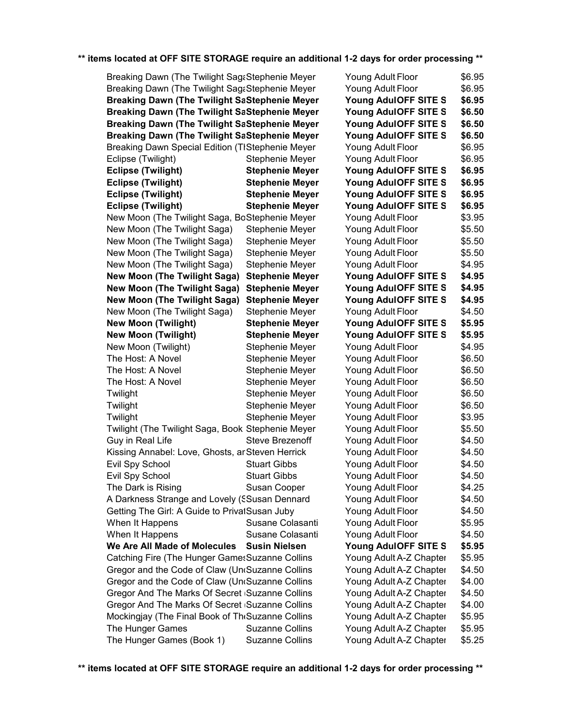| Breaking Dawn (The Twilight Sag&Stephenie Meyer                                                   | Young Adult Floor      | \$6.95                  |        |
|---------------------------------------------------------------------------------------------------|------------------------|-------------------------|--------|
| Breaking Dawn (The Twilight Sag&Stephenie Meyer                                                   | Young Adult Floor      | \$6.95                  |        |
| <b>Breaking Dawn (The Twilight SaStephenie Meyer</b>                                              | Young AdulOFF SITE S   | \$6.95                  |        |
| <b>Breaking Dawn (The Twilight SaStephenie Meyer</b>                                              | Young AdulOFF SITE S   | \$6.50                  |        |
| <b>Breaking Dawn (The Twilight SaStephenie Meyer</b>                                              |                        | Young AdulOFF SITE S    | \$6.50 |
| <b>Breaking Dawn (The Twilight SaStephenie Meyer</b>                                              |                        | Young AdulOFF SITE S    | \$6.50 |
| Breaking Dawn Special Edition (TIStephenie Meyer                                                  |                        | Young Adult Floor       | \$6.95 |
| Eclipse (Twilight)                                                                                | Stephenie Meyer        | Young Adult Floor       | \$6.95 |
| <b>Eclipse (Twilight)</b>                                                                         | <b>Stephenie Meyer</b> | Young AdulOFF SITE S    | \$6.95 |
| <b>Eclipse (Twilight)</b>                                                                         | <b>Stephenie Meyer</b> | Young AdulOFF SITE S    | \$6.95 |
| <b>Eclipse (Twilight)</b>                                                                         | <b>Stephenie Meyer</b> | Young AdulOFF SITE S    | \$6.95 |
| <b>Eclipse (Twilight)</b>                                                                         | <b>Stephenie Meyer</b> | Young AdulOFF SITE S    | \$6.95 |
| New Moon (The Twilight Saga, BoStephenie Meyer                                                    |                        | Young Adult Floor       | \$3.95 |
| New Moon (The Twilight Saga)                                                                      | Stephenie Meyer        | Young Adult Floor       | \$5.50 |
| New Moon (The Twilight Saga)                                                                      | Stephenie Meyer        | Young Adult Floor       | \$5.50 |
| New Moon (The Twilight Saga)                                                                      | Stephenie Meyer        | Young Adult Floor       | \$5.50 |
| New Moon (The Twilight Saga)                                                                      | Stephenie Meyer        | Young Adult Floor       | \$4.95 |
| <b>New Moon (The Twilight Saga)</b>                                                               | <b>Stephenie Meyer</b> | Young AdulOFF SITE S    | \$4.95 |
| <b>New Moon (The Twilight Saga)</b>                                                               | <b>Stephenie Meyer</b> | Young AdulOFF SITE S    | \$4.95 |
| <b>New Moon (The Twilight Saga)</b>                                                               | <b>Stephenie Meyer</b> | Young AdulOFF SITE S    | \$4.95 |
| New Moon (The Twilight Saga)                                                                      | Stephenie Meyer        | Young Adult Floor       | \$4.50 |
| <b>New Moon (Twilight)</b>                                                                        | <b>Stephenie Meyer</b> | Young AdulOFF SITE S    | \$5.95 |
| <b>New Moon (Twilight)</b>                                                                        | <b>Stephenie Meyer</b> | Young AdulOFF SITE S    | \$5.95 |
| New Moon (Twilight)                                                                               | Stephenie Meyer        | Young Adult Floor       | \$4.95 |
| The Host: A Novel                                                                                 | Stephenie Meyer        | Young Adult Floor       | \$6.50 |
| The Host: A Novel                                                                                 | Stephenie Meyer        | Young Adult Floor       | \$6.50 |
| The Host: A Novel                                                                                 | Stephenie Meyer        | Young Adult Floor       | \$6.50 |
| Twilight                                                                                          | Stephenie Meyer        | Young Adult Floor       | \$6.50 |
| Twilight                                                                                          | Stephenie Meyer        | Young Adult Floor       | \$6.50 |
| Twilight                                                                                          | Stephenie Meyer        | Young Adult Floor       | \$3.95 |
| Twilight (The Twilight Saga, Book Stephenie Meyer                                                 |                        | Young Adult Floor       | \$5.50 |
| Guy in Real Life                                                                                  | Steve Brezenoff        | Young Adult Floor       | \$4.50 |
| Kissing Annabel: Love, Ghosts, ar Steven Herrick                                                  |                        | Young Adult Floor       | \$4.50 |
| Evil Spy School                                                                                   | <b>Stuart Gibbs</b>    | Young Adult Floor       | \$4.50 |
| Evil Spy School                                                                                   | <b>Stuart Gibbs</b>    | Young Adult Floor       | \$4.50 |
| The Dark is Rising                                                                                | Susan Cooper           | Young Adult Floor       | \$4.25 |
| A Darkness Strange and Lovely (SSusan Dennard                                                     |                        | Young Adult Floor       | \$4.50 |
| Getting The Girl: A Guide to PrivatSusan Juby                                                     |                        | Young Adult Floor       | \$4.50 |
| When It Happens                                                                                   | Susane Colasanti       | Young Adult Floor       | \$5.95 |
| When It Happens                                                                                   | Susane Colasanti       | Young Adult Floor       | \$4.50 |
| We Are All Made of Molecules                                                                      | <b>Susin Nielsen</b>   | Young AdulOFF SITE S    | \$5.95 |
|                                                                                                   |                        | Young Adult A-Z Chapter | \$5.95 |
| Catching Fire (The Hunger GamesSuzanne Collins<br>Gregor and the Code of Claw (Un(Suzanne Collins |                        | Young Adult A-Z Chapter | \$4.50 |
| Gregor and the Code of Claw (Un(Suzanne Collins                                                   |                        | Young Adult A-Z Chapter | \$4.00 |
| Gregor And The Marks Of Secret Suzanne Collins                                                    |                        | Young Adult A-Z Chapter | \$4.50 |
| Gregor And The Marks Of Secret Suzanne Collins                                                    |                        | Young Adult A-Z Chapter | \$4.00 |
| Mockingjay (The Final Book of The Suzanne Collins                                                 |                        | Young Adult A-Z Chapter | \$5.95 |
| The Hunger Games                                                                                  | <b>Suzanne Collins</b> | Young Adult A-Z Chapter | \$5.95 |
| The Hunger Games (Book 1)                                                                         | <b>Suzanne Collins</b> | Young Adult A-Z Chapter | \$5.25 |
|                                                                                                   |                        |                         |        |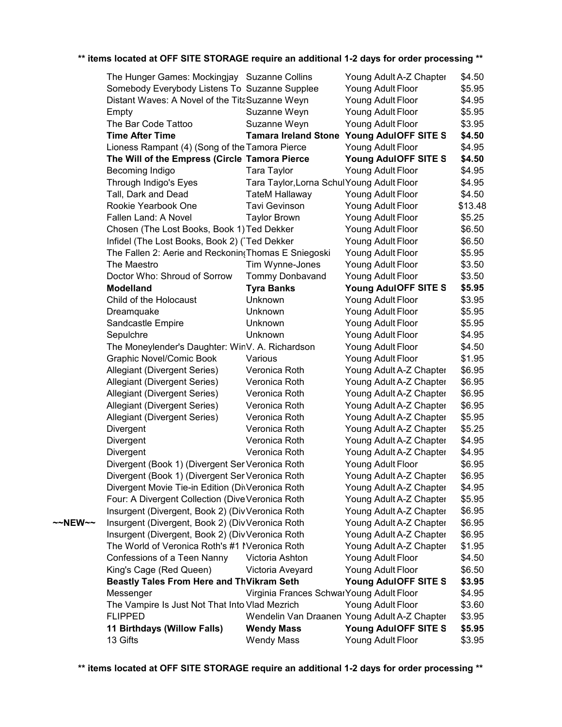|         | The Hunger Games: Mockingjay Suzanne Collins         |                                            | Young Adult A-Z Chapter                      | \$4.50  |
|---------|------------------------------------------------------|--------------------------------------------|----------------------------------------------|---------|
|         | Somebody Everybody Listens To Suzanne Supplee        |                                            | Young Adult Floor                            | \$5.95  |
|         | Distant Waves: A Novel of the TitaSuzanne Weyn       |                                            | Young Adult Floor                            | \$4.95  |
|         | Empty                                                | Suzanne Weyn                               | Young Adult Floor                            | \$5.95  |
|         | The Bar Code Tattoo                                  | Suzanne Weyn                               | Young Adult Floor                            | \$3.95  |
|         | <b>Time After Time</b>                               | <b>Tamara Ireland Stone</b>                | Young AdulOFF SITE S                         | \$4.50  |
|         | Lioness Rampant (4) (Song of the Tamora Pierce       |                                            | Young Adult Floor                            | \$4.95  |
|         | The Will of the Empress (Circle Tamora Pierce        |                                            | Young AdulOFF SITE S                         | \$4.50  |
|         | Becoming Indigo                                      | Tara Taylor                                | Young Adult Floor                            | \$4.95  |
|         | Through Indigo's Eyes                                | Tara Taylor, Lorna Schul Young Adult Floor |                                              | \$4.95  |
|         | Tall, Dark and Dead                                  | <b>TateM Hallaway</b>                      | Young Adult Floor                            | \$4.50  |
|         | Rookie Yearbook One                                  | <b>Tavi Gevinson</b>                       | Young Adult Floor                            | \$13.48 |
|         | Fallen Land: A Novel                                 | <b>Taylor Brown</b>                        | Young Adult Floor                            | \$5.25  |
|         | Chosen (The Lost Books, Book 1) Ted Dekker           |                                            | Young Adult Floor                            | \$6.50  |
|         | Infidel (The Lost Books, Book 2) (Ted Dekker         |                                            | Young Adult Floor                            | \$6.50  |
|         | The Fallen 2: Aerie and Reckonin (Thomas E Sniegoski |                                            | Young Adult Floor                            | \$5.95  |
|         | The Maestro                                          | Tim Wynne-Jones                            | Young Adult Floor                            | \$3.50  |
|         | Doctor Who: Shroud of Sorrow                         | Tommy Donbavand                            | Young Adult Floor                            | \$3.50  |
|         | <b>Modelland</b>                                     | <b>Tyra Banks</b>                          | Young AdulOFF SITE S                         | \$5.95  |
|         | Child of the Holocaust                               | Unknown                                    | Young Adult Floor                            | \$3.95  |
|         | Dreamquake                                           | Unknown                                    | Young Adult Floor                            | \$5.95  |
|         | Sandcastle Empire                                    | Unknown                                    | Young Adult Floor                            | \$5.95  |
|         | Sepulchre                                            | Unknown                                    | Young Adult Floor                            | \$4.95  |
|         | The Moneylender's Daughter: WinV. A. Richardson      |                                            | Young Adult Floor                            | \$4.50  |
|         | <b>Graphic Novel/Comic Book</b>                      | Various                                    | Young Adult Floor                            | \$1.95  |
|         | Allegiant (Divergent Series)                         | Veronica Roth                              | Young Adult A-Z Chapter                      | \$6.95  |
|         | Allegiant (Divergent Series)                         | Veronica Roth                              | Young Adult A-Z Chapter                      | \$6.95  |
|         | Allegiant (Divergent Series)                         | Veronica Roth                              | Young Adult A-Z Chapter                      | \$6.95  |
|         | Allegiant (Divergent Series)                         | Veronica Roth                              | Young Adult A-Z Chapter                      | \$6.95  |
|         | Allegiant (Divergent Series)                         | Veronica Roth                              | Young Adult A-Z Chapter                      | \$5.95  |
|         | Divergent                                            | Veronica Roth                              | Young Adult A-Z Chapter                      | \$5.25  |
|         | Divergent                                            | Veronica Roth                              | Young Adult A-Z Chapter                      | \$4.95  |
|         | Divergent                                            | Veronica Roth                              | Young Adult A-Z Chapter                      | \$4.95  |
|         | Divergent (Book 1) (Divergent SeriVeronica Roth      |                                            | Young Adult Floor                            | \$6.95  |
|         | Divergent (Book 1) (Divergent SeriVeronica Roth      |                                            | Young Adult A-Z Chapter                      | \$6.95  |
|         | Divergent Movie Tie-in Edition (DivVeronica Roth     |                                            | Young Adult A-Z Chapter                      | \$4.95  |
|         | Four: A Divergent Collection (Dive Veronica Roth     |                                            | Young Adult A-Z Chapter                      | \$5.95  |
|         | Insurgent (Divergent, Book 2) (Div Veronica Roth     |                                            | Young Adult A-Z Chapter                      | \$6.95  |
| ~~NEW~~ | Insurgent (Divergent, Book 2) (Div Veronica Roth     |                                            | Young Adult A-Z Chapter                      | \$6.95  |
|         | Insurgent (Divergent, Book 2) (Div Veronica Roth     |                                            | Young Adult A-Z Chapter                      | \$6.95  |
|         | The World of Veronica Roth's #1 IVeronica Roth       |                                            | Young Adult A-Z Chapter                      | \$1.95  |
|         | Confessions of a Teen Nanny                          | Victoria Ashton                            | Young Adult Floor                            | \$4.50  |
|         | King's Cage (Red Queen)                              | Victoria Aveyard                           | Young Adult Floor                            | \$6.50  |
|         | Beastly Tales From Here and ThVikram Seth            |                                            | Young AdulOFF SITE S                         | \$3.95  |
|         | Messenger                                            | Virginia Frances SchwarYoung Adult Floor   |                                              | \$4.95  |
|         | The Vampire Is Just Not That Into Vlad Mezrich       |                                            | Young Adult Floor                            | \$3.60  |
|         | <b>FLIPPED</b>                                       |                                            | Wendelin Van Draanen Young Adult A-Z Chapter | \$3.95  |
|         | 11 Birthdays (Willow Falls)                          | <b>Wendy Mass</b>                          | Young AdulOFF SITE S                         | \$5.95  |
|         | 13 Gifts                                             | <b>Wendy Mass</b>                          | Young Adult Floor                            | \$3.95  |